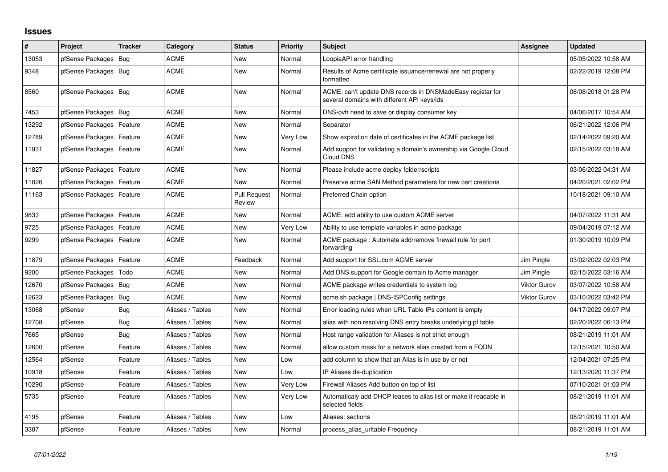## **Issues**

| #     | Project                    | <b>Tracker</b> | Category         | <b>Status</b>                 | <b>Priority</b> | <b>Subject</b>                                                                                            | Assignee            | <b>Updated</b>      |
|-------|----------------------------|----------------|------------------|-------------------------------|-----------------|-----------------------------------------------------------------------------------------------------------|---------------------|---------------------|
| 13053 | pfSense Packages           | Bug            | <b>ACME</b>      | <b>New</b>                    | Normal          | LoopiaAPI error handling                                                                                  |                     | 05/05/2022 10:58 AM |
| 9348  | pfSense Packages   Bug     |                | <b>ACME</b>      | <b>New</b>                    | Normal          | Results of Acme certificate issuance/renewal are not properly<br>formatted                                |                     | 02/22/2019 12:08 PM |
| 8560  | pfSense Packages   Bug     |                | <b>ACME</b>      | New                           | Normal          | ACME: can't update DNS records in DNSMadeEasy registar for<br>several domains with different API keys/ids |                     | 06/08/2018 01:28 PM |
| 7453  | pfSense Packages   Bug     |                | <b>ACME</b>      | New                           | Normal          | DNS-ovh need to save or display consumer key                                                              |                     | 04/06/2017 10:54 AM |
| 13292 | pfSense Packages   Feature |                | <b>ACME</b>      | New                           | Normal          | Separator                                                                                                 |                     | 06/21/2022 12:06 PM |
| 12789 | pfSense Packages           | Feature        | <b>ACME</b>      | <b>New</b>                    | Very Low        | Show expiration date of certificates in the ACME package list                                             |                     | 02/14/2022 09:20 AM |
| 11931 | pfSense Packages   Feature |                | <b>ACME</b>      | New                           | Normal          | Add support for validating a domain's ownership via Google Cloud<br>Cloud DNS                             |                     | 02/15/2022 03:18 AM |
| 11827 | pfSense Packages           | Feature        | <b>ACME</b>      | <b>New</b>                    | Normal          | Please include acme deploy folder/scripts                                                                 |                     | 03/06/2022 04:31 AM |
| 11826 | pfSense Packages   Feature |                | <b>ACME</b>      | New                           | Normal          | Preserve acme SAN Method parameters for new cert creations                                                |                     | 04/20/2021 02:02 PM |
| 11163 | pfSense Packages   Feature |                | ACME             | <b>Pull Request</b><br>Review | Normal          | Preferred Chain option                                                                                    |                     | 10/18/2021 09:10 AM |
| 9833  | pfSense Packages   Feature |                | <b>ACME</b>      | <b>New</b>                    | Normal          | ACME: add ability to use custom ACME server                                                               |                     | 04/07/2022 11:31 AM |
| 9725  | pfSense Packages           | Feature        | ACME             | New                           | Very Low        | Ability to use template variables in acme package                                                         |                     | 09/04/2019 07:12 AM |
| 9299  | pfSense Packages   Feature |                | <b>ACME</b>      | <b>New</b>                    | Normal          | ACME package: Automate add/remove firewall rule for port<br>forwarding                                    |                     | 01/30/2019 10:09 PM |
| 11879 | pfSense Packages   Feature |                | <b>ACME</b>      | Feedback                      | Normal          | Add support for SSL.com ACME server                                                                       | Jim Pingle          | 03/02/2022 02:03 PM |
| 9200  | pfSense Packages   Todo    |                | <b>ACME</b>      | <b>New</b>                    | Normal          | Add DNS support for Google domain to Acme manager                                                         | Jim Pingle          | 02/15/2022 03:16 AM |
| 12670 | pfSense Packages           | Bug            | <b>ACME</b>      | New                           | Normal          | ACME package writes credentials to system log                                                             | <b>Viktor Gurov</b> | 03/07/2022 10:58 AM |
| 12623 | pfSense Packages   Bug     |                | <b>ACME</b>      | <b>New</b>                    | Normal          | acme.sh package   DNS-ISPConfig settings                                                                  | <b>Viktor Gurov</b> | 03/10/2022 03:42 PM |
| 13068 | pfSense                    | Bug            | Aliases / Tables | <b>New</b>                    | Normal          | Error loading rules when URL Table IPs content is empty                                                   |                     | 04/17/2022 09:07 PM |
| 12708 | pfSense                    | Bug            | Aliases / Tables | New                           | Normal          | alias with non resolving DNS entry breaks underlying pf table                                             |                     | 02/20/2022 06:13 PM |
| 7665  | pfSense                    | Bug            | Aliases / Tables | <b>New</b>                    | Normal          | Host range validation for Aliases is not strict enough                                                    |                     | 08/21/2019 11:01 AM |
| 12600 | pfSense                    | Feature        | Aliases / Tables | New                           | Normal          | allow custom mask for a network alias created from a FQDN                                                 |                     | 12/15/2021 10:50 AM |
| 12564 | pfSense                    | Feature        | Aliases / Tables | <b>New</b>                    | Low             | add column to show that an Alias is in use by or not                                                      |                     | 12/04/2021 07:25 PM |
| 10918 | pfSense                    | Feature        | Aliases / Tables | <b>New</b>                    | Low             | IP Aliases de-duplication                                                                                 |                     | 12/13/2020 11:37 PM |
| 10290 | pfSense                    | Feature        | Aliases / Tables | New                           | Very Low        | Firewall Aliases Add button on top of list                                                                |                     | 07/10/2021 01:03 PM |
| 5735  | pfSense                    | Feature        | Aliases / Tables | <b>New</b>                    | Very Low        | Automaticaly add DHCP leases to alias list or make it readable in<br>selected fields                      |                     | 08/21/2019 11:01 AM |
| 4195  | pfSense                    | Feature        | Aliases / Tables | <b>New</b>                    | Low             | Aliases: sections                                                                                         |                     | 08/21/2019 11:01 AM |
| 3387  | pfSense                    | Feature        | Aliases / Tables | <b>New</b>                    | Normal          | process_alias_urItable Frequency                                                                          |                     | 08/21/2019 11:01 AM |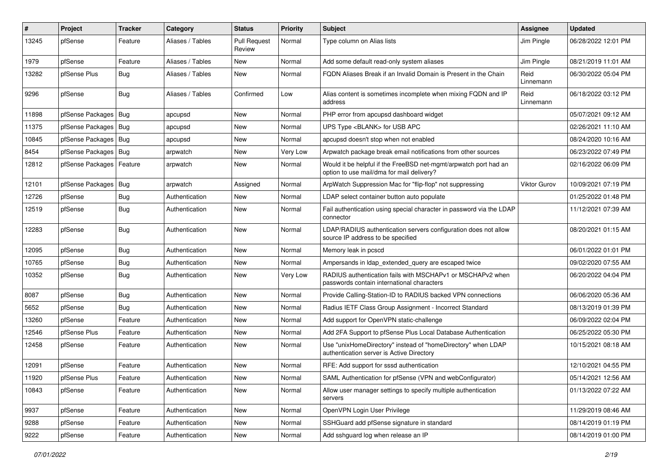| #     | Project                    | Tracker    | Category         | <b>Status</b>                 | <b>Priority</b> | <b>Subject</b>                                                                                                | <b>Assignee</b>   | <b>Updated</b>      |
|-------|----------------------------|------------|------------------|-------------------------------|-----------------|---------------------------------------------------------------------------------------------------------------|-------------------|---------------------|
| 13245 | pfSense                    | Feature    | Aliases / Tables | <b>Pull Request</b><br>Review | Normal          | Type column on Alias lists                                                                                    | Jim Pingle        | 06/28/2022 12:01 PM |
| 1979  | pfSense                    | Feature    | Aliases / Tables | New                           | Normal          | Add some default read-only system aliases                                                                     | Jim Pingle        | 08/21/2019 11:01 AM |
| 13282 | pfSense Plus               | Bug        | Aliases / Tables | New                           | Normal          | FQDN Aliases Break if an Invalid Domain is Present in the Chain                                               | Reid<br>Linnemann | 06/30/2022 05:04 PM |
| 9296  | pfSense                    | <b>Bug</b> | Aliases / Tables | Confirmed                     | Low             | Alias content is sometimes incomplete when mixing FQDN and IP<br>address                                      | Reid<br>Linnemann | 06/18/2022 03:12 PM |
| 11898 | pfSense Packages   Bug     |            | apcupsd          | New                           | Normal          | PHP error from apcupsd dashboard widget                                                                       |                   | 05/07/2021 09:12 AM |
| 11375 | pfSense Packages   Bug     |            | apcupsd          | New                           | Normal          | UPS Type <blank> for USB APC</blank>                                                                          |                   | 02/26/2021 11:10 AM |
| 10845 | pfSense Packages   Bug     |            | apcupsd          | New                           | Normal          | apcupsd doesn't stop when not enabled                                                                         |                   | 08/24/2020 10:16 AM |
| 8454  | pfSense Packages   Bug     |            | arpwatch         | New                           | Very Low        | Arpwatch package break email notifications from other sources                                                 |                   | 06/23/2022 07:49 PM |
| 12812 | pfSense Packages   Feature |            | arpwatch         | New                           | Normal          | Would it be helpful if the FreeBSD net-mgmt/arpwatch port had an<br>option to use mail/dma for mail delivery? |                   | 02/16/2022 06:09 PM |
| 12101 | pfSense Packages   Bug     |            | arpwatch         | Assigned                      | Normal          | ArpWatch Suppression Mac for "flip-flop" not suppressing                                                      | Viktor Gurov      | 10/09/2021 07:19 PM |
| 12726 | pfSense                    | Bug        | Authentication   | New                           | Normal          | LDAP select container button auto populate                                                                    |                   | 01/25/2022 01:48 PM |
| 12519 | pfSense                    | <b>Bug</b> | Authentication   | New                           | Normal          | Fail authentication using special character in password via the LDAP<br>connector                             |                   | 11/12/2021 07:39 AM |
| 12283 | pfSense                    | <b>Bug</b> | Authentication   | New                           | Normal          | LDAP/RADIUS authentication servers configuration does not allow<br>source IP address to be specified          |                   | 08/20/2021 01:15 AM |
| 12095 | pfSense                    | Bug        | Authentication   | New                           | Normal          | Memory leak in pcscd                                                                                          |                   | 06/01/2022 01:01 PM |
| 10765 | pfSense                    | <b>Bug</b> | Authentication   | New                           | Normal          | Ampersands in Idap_extended_query are escaped twice                                                           |                   | 09/02/2020 07:55 AM |
| 10352 | pfSense                    | <b>Bug</b> | Authentication   | New                           | Very Low        | RADIUS authentication fails with MSCHAPv1 or MSCHAPv2 when<br>passwords contain international characters      |                   | 06/20/2022 04:04 PM |
| 8087  | pfSense                    | <b>Bug</b> | Authentication   | New                           | Normal          | Provide Calling-Station-ID to RADIUS backed VPN connections                                                   |                   | 06/06/2020 05:36 AM |
| 5652  | pfSense                    | <b>Bug</b> | Authentication   | New                           | Normal          | Radius IETF Class Group Assignment - Incorrect Standard                                                       |                   | 08/13/2019 01:39 PM |
| 13260 | pfSense                    | Feature    | Authentication   | New                           | Normal          | Add support for OpenVPN static-challenge                                                                      |                   | 06/09/2022 02:04 PM |
| 12546 | pfSense Plus               | Feature    | Authentication   | New                           | Normal          | Add 2FA Support to pfSense Plus Local Database Authentication                                                 |                   | 06/25/2022 05:30 PM |
| 12458 | pfSense                    | Feature    | Authentication   | New                           | Normal          | Use "unixHomeDirectory" instead of "homeDirectory" when LDAP<br>authentication server is Active Directory     |                   | 10/15/2021 08:18 AM |
| 12091 | pfSense                    | Feature    | Authentication   | New                           | Normal          | RFE: Add support for sssd authentication                                                                      |                   | 12/10/2021 04:55 PM |
| 11920 | pfSense Plus               | Feature    | Authentication   | New                           | Normal          | SAML Authentication for pfSense (VPN and webConfigurator)                                                     |                   | 05/14/2021 12:56 AM |
| 10843 | pfSense                    | Feature    | Authentication   | New                           | Normal          | Allow user manager settings to specify multiple authentication<br>servers                                     |                   | 01/13/2022 07:22 AM |
| 9937  | pfSense                    | Feature    | Authentication   | New                           | Normal          | OpenVPN Login User Privilege                                                                                  |                   | 11/29/2019 08:46 AM |
| 9288  | pfSense                    | Feature    | Authentication   | New                           | Normal          | SSHGuard add pfSense signature in standard                                                                    |                   | 08/14/2019 01:19 PM |
| 9222  | pfSense                    | Feature    | Authentication   | New                           | Normal          | Add sshguard log when release an IP                                                                           |                   | 08/14/2019 01:00 PM |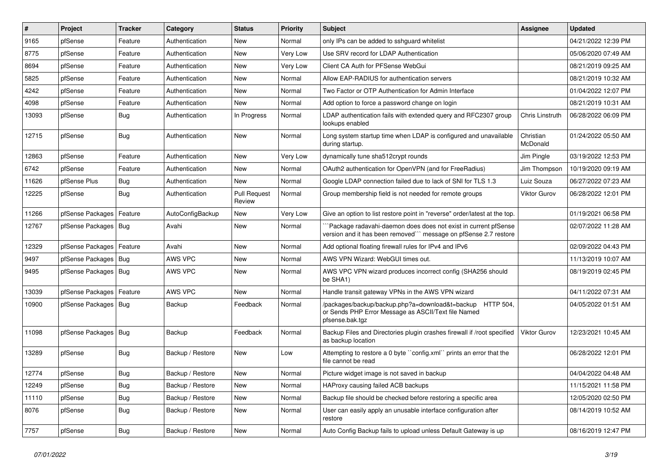| #     | Project                | <b>Tracker</b> | Category         | <b>Status</b>                 | <b>Priority</b> | Subject                                                                                                                             | <b>Assignee</b>       | Updated             |
|-------|------------------------|----------------|------------------|-------------------------------|-----------------|-------------------------------------------------------------------------------------------------------------------------------------|-----------------------|---------------------|
| 9165  | pfSense                | Feature        | Authentication   | New                           | Normal          | only IPs can be added to sshguard whitelist                                                                                         |                       | 04/21/2022 12:39 PM |
| 8775  | pfSense                | Feature        | Authentication   | New                           | Very Low        | Use SRV record for LDAP Authentication                                                                                              |                       | 05/06/2020 07:49 AM |
| 8694  | pfSense                | Feature        | Authentication   | New                           | Very Low        | Client CA Auth for PFSense WebGui                                                                                                   |                       | 08/21/2019 09:25 AM |
| 5825  | pfSense                | Feature        | Authentication   | <b>New</b>                    | Normal          | Allow EAP-RADIUS for authentication servers                                                                                         |                       | 08/21/2019 10:32 AM |
| 4242  | pfSense                | Feature        | Authentication   | <b>New</b>                    | Normal          | Two Factor or OTP Authentication for Admin Interface                                                                                |                       | 01/04/2022 12:07 PM |
| 4098  | pfSense                | Feature        | Authentication   | <b>New</b>                    | Normal          | Add option to force a password change on login                                                                                      |                       | 08/21/2019 10:31 AM |
| 13093 | pfSense                | Bug            | Authentication   | In Progress                   | Normal          | LDAP authentication fails with extended query and RFC2307 group<br>lookups enabled                                                  | Chris Linstruth       | 06/28/2022 06:09 PM |
| 12715 | pfSense                | <b>Bug</b>     | Authentication   | <b>New</b>                    | Normal          | Long system startup time when LDAP is configured and unavailable<br>during startup.                                                 | Christian<br>McDonald | 01/24/2022 05:50 AM |
| 12863 | pfSense                | Feature        | Authentication   | <b>New</b>                    | Very Low        | dynamically tune sha512crypt rounds                                                                                                 | Jim Pingle            | 03/19/2022 12:53 PM |
| 6742  | pfSense                | Feature        | Authentication   | <b>New</b>                    | Normal          | OAuth2 authentication for OpenVPN (and for FreeRadius)                                                                              | Jim Thompson          | 10/19/2020 09:19 AM |
| 11626 | pfSense Plus           | Bug            | Authentication   | <b>New</b>                    | Normal          | Google LDAP connection failed due to lack of SNI for TLS 1.3                                                                        | Luiz Souza            | 06/27/2022 07:23 AM |
| 12225 | pfSense                | Bug            | Authentication   | <b>Pull Request</b><br>Review | Normal          | Group membership field is not needed for remote groups                                                                              | <b>Viktor Gurov</b>   | 06/28/2022 12:01 PM |
| 11266 | pfSense Packages       | Feature        | AutoConfigBackup | <b>New</b>                    | Very Low        | Give an option to list restore point in "reverse" order/latest at the top.                                                          |                       | 01/19/2021 06:58 PM |
| 12767 | pfSense Packages       | Bug            | Avahi            | New                           | Normal          | Package radavahi-daemon does does not exist in current pfSense<br>version and it has been removed"" message on pfSense 2.7 restore  |                       | 02/07/2022 11:28 AM |
| 12329 | pfSense Packages       | Feature        | Avahi            | New                           | Normal          | Add optional floating firewall rules for IPv4 and IPv6                                                                              |                       | 02/09/2022 04:43 PM |
| 9497  | pfSense Packages       | Bug            | AWS VPC          | New                           | Normal          | AWS VPN Wizard: WebGUI times out.                                                                                                   |                       | 11/13/2019 10:07 AM |
| 9495  | pfSense Packages   Bug |                | AWS VPC          | <b>New</b>                    | Normal          | AWS VPC VPN wizard produces incorrect config (SHA256 should<br>be SHA1)                                                             |                       | 08/19/2019 02:45 PM |
| 13039 | pfSense Packages       | Feature        | AWS VPC          | New                           | Normal          | Handle transit gateway VPNs in the AWS VPN wizard                                                                                   |                       | 04/11/2022 07:31 AM |
| 10900 | pfSense Packages       | Bug            | Backup           | Feedback                      | Normal          | /packages/backup/backup.php?a=download&t=backup HTTP 504,<br>or Sends PHP Error Message as ASCII/Text file Named<br>pfsense.bak.tgz |                       | 04/05/2022 01:51 AM |
| 11098 | pfSense Packages       | Bug            | Backup           | Feedback                      | Normal          | Backup Files and Directories plugin crashes firewall if /root specified<br>as backup location                                       | Viktor Gurov          | 12/23/2021 10:45 AM |
| 13289 | pfSense                | Bug            | Backup / Restore | <b>New</b>                    | Low             | Attempting to restore a 0 byte "config.xml" prints an error that the<br>file cannot be read                                         |                       | 06/28/2022 12:01 PM |
| 12774 | pfSense                | Bug            | Backup / Restore | <b>New</b>                    | Normal          | Picture widget image is not saved in backup                                                                                         |                       | 04/04/2022 04:48 AM |
| 12249 | pfSense                | Bug            | Backup / Restore | New                           | Normal          | HAProxy causing failed ACB backups                                                                                                  |                       | 11/15/2021 11:58 PM |
| 11110 | pfSense                | <b>Bug</b>     | Backup / Restore | New                           | Normal          | Backup file should be checked before restoring a specific area                                                                      |                       | 12/05/2020 02:50 PM |
| 8076  | pfSense                | <b>Bug</b>     | Backup / Restore | New                           | Normal          | User can easily apply an unusable interface configuration after<br>restore                                                          |                       | 08/14/2019 10:52 AM |
| 7757  | pfSense                | Bug            | Backup / Restore | New                           | Normal          | Auto Config Backup fails to upload unless Default Gateway is up                                                                     |                       | 08/16/2019 12:47 PM |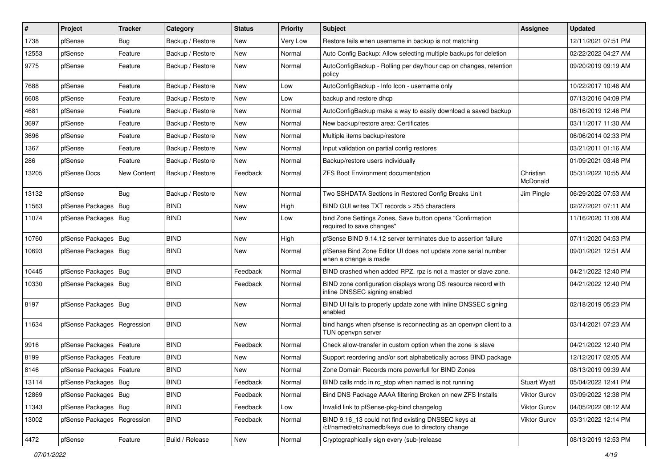| #     | Project                       | <b>Tracker</b> | Category         | <b>Status</b> | <b>Priority</b> | <b>Subject</b>                                                                                           | Assignee              | <b>Updated</b>      |
|-------|-------------------------------|----------------|------------------|---------------|-----------------|----------------------------------------------------------------------------------------------------------|-----------------------|---------------------|
| 1738  | pfSense                       | Bug            | Backup / Restore | New           | Very Low        | Restore fails when username in backup is not matching                                                    |                       | 12/11/2021 07:51 PM |
| 12553 | pfSense                       | Feature        | Backup / Restore | <b>New</b>    | Normal          | Auto Config Backup: Allow selecting multiple backups for deletion                                        |                       | 02/22/2022 04:27 AM |
| 9775  | pfSense                       | Feature        | Backup / Restore | New           | Normal          | AutoConfigBackup - Rolling per day/hour cap on changes, retention<br>policy                              |                       | 09/20/2019 09:19 AM |
| 7688  | pfSense                       | Feature        | Backup / Restore | <b>New</b>    | Low             | AutoConfigBackup - Info Icon - username only                                                             |                       | 10/22/2017 10:46 AM |
| 6608  | pfSense                       | Feature        | Backup / Restore | <b>New</b>    | Low             | backup and restore dhcp                                                                                  |                       | 07/13/2016 04:09 PM |
| 4681  | pfSense                       | Feature        | Backup / Restore | New           | Normal          | AutoConfigBackup make a way to easily download a saved backup                                            |                       | 08/16/2019 12:46 PM |
| 3697  | pfSense                       | Feature        | Backup / Restore | New           | Normal          | New backup/restore area: Certificates                                                                    |                       | 03/11/2017 11:30 AM |
| 3696  | pfSense                       | Feature        | Backup / Restore | New           | Normal          | Multiple items backup/restore                                                                            |                       | 06/06/2014 02:33 PM |
| 1367  | pfSense                       | Feature        | Backup / Restore | <b>New</b>    | Normal          | Input validation on partial config restores                                                              |                       | 03/21/2011 01:16 AM |
| 286   | pfSense                       | Feature        | Backup / Restore | New           | Normal          | Backup/restore users individually                                                                        |                       | 01/09/2021 03:48 PM |
| 13205 | pfSense Docs                  | New Content    | Backup / Restore | Feedback      | Normal          | <b>ZFS Boot Environment documentation</b>                                                                | Christian<br>McDonald | 05/31/2022 10:55 AM |
| 13132 | pfSense                       | Bug            | Backup / Restore | <b>New</b>    | Normal          | Two SSHDATA Sections in Restored Config Breaks Unit                                                      | Jim Pingle            | 06/29/2022 07:53 AM |
| 11563 | pfSense Packages   Bug        |                | <b>BIND</b>      | New           | High            | BIND GUI writes TXT records > 255 characters                                                             |                       | 02/27/2021 07:11 AM |
| 11074 | pfSense Packages   Bug        |                | <b>BIND</b>      | New           | Low             | bind Zone Settings Zones, Save button opens "Confirmation<br>required to save changes"                   |                       | 11/16/2020 11:08 AM |
| 10760 | pfSense Packages   Bug        |                | <b>BIND</b>      | <b>New</b>    | High            | pfSense BIND 9.14.12 server terminates due to assertion failure                                          |                       | 07/11/2020 04:53 PM |
| 10693 | pfSense Packages   Bug        |                | BIND             | New           | Normal          | pfSense Bind Zone Editor UI does not update zone serial number<br>when a change is made                  |                       | 09/01/2021 12:51 AM |
| 10445 | pfSense Packages              | Bug            | <b>BIND</b>      | Feedback      | Normal          | BIND crashed when added RPZ. rpz is not a master or slave zone.                                          |                       | 04/21/2022 12:40 PM |
| 10330 | pfSense Packages   Bug        |                | <b>BIND</b>      | Feedback      | Normal          | BIND zone configuration displays wrong DS resource record with<br>inline DNSSEC signing enabled          |                       | 04/21/2022 12:40 PM |
| 8197  | pfSense Packages   Bug        |                | <b>BIND</b>      | New           | Normal          | BIND UI fails to properly update zone with inline DNSSEC signing<br>enabled                              |                       | 02/18/2019 05:23 PM |
| 11634 | pfSense Packages   Regression |                | <b>BIND</b>      | New           | Normal          | bind hangs when pfsense is reconnecting as an openvpn client to a<br>TUN openvpn server                  |                       | 03/14/2021 07:23 AM |
| 9916  | pfSense Packages              | Feature        | <b>BIND</b>      | Feedback      | Normal          | Check allow-transfer in custom option when the zone is slave                                             |                       | 04/21/2022 12:40 PM |
| 8199  | pfSense Packages              | Feature        | <b>BIND</b>      | <b>New</b>    | Normal          | Support reordering and/or sort alphabetically across BIND package                                        |                       | 12/12/2017 02:05 AM |
| 8146  | pfSense Packages   Feature    |                | <b>BIND</b>      | <b>New</b>    | Normal          | Zone Domain Records more powerfull for BIND Zones                                                        |                       | 08/13/2019 09:39 AM |
| 13114 | pfSense Packages   Bug        |                | <b>BIND</b>      | Feedback      | Normal          | BIND calls rndc in rc_stop when named is not running                                                     | <b>Stuart Wyatt</b>   | 05/04/2022 12:41 PM |
| 12869 | pfSense Packages   Bug        |                | <b>BIND</b>      | Feedback      | Normal          | Bind DNS Package AAAA filtering Broken on new ZFS Installs                                               | Viktor Gurov          | 03/09/2022 12:38 PM |
| 11343 | pfSense Packages   Bug        |                | <b>BIND</b>      | Feedback      | Low             | Invalid link to pfSense-pkg-bind changelog                                                               | Viktor Gurov          | 04/05/2022 08:12 AM |
| 13002 | pfSense Packages   Regression |                | <b>BIND</b>      | Feedback      | Normal          | BIND 9.16_13 could not find existing DNSSEC keys at<br>/cf/named/etc/namedb/keys due to directory change | <b>Viktor Gurov</b>   | 03/31/2022 12:14 PM |
| 4472  | pfSense                       | Feature        | Build / Release  | New           | Normal          | Cryptographically sign every (sub-)release                                                               |                       | 08/13/2019 12:53 PM |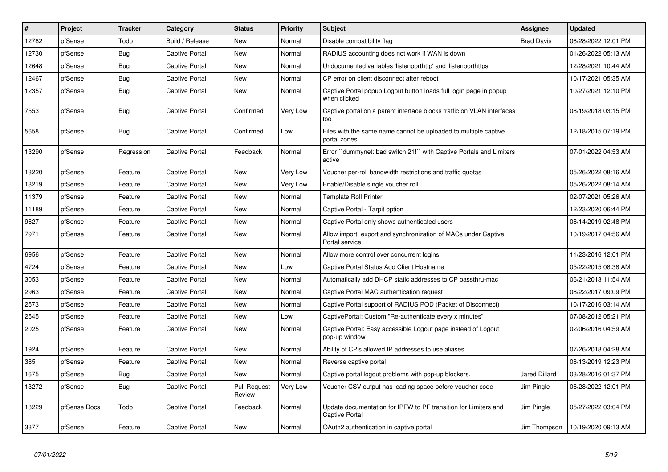| $\vert$ # | Project      | <b>Tracker</b> | Category              | <b>Status</b>                 | <b>Priority</b> | <b>Subject</b>                                                                           | Assignee             | <b>Updated</b>      |
|-----------|--------------|----------------|-----------------------|-------------------------------|-----------------|------------------------------------------------------------------------------------------|----------------------|---------------------|
| 12782     | pfSense      | Todo           | Build / Release       | <b>New</b>                    | Normal          | Disable compatibility flag                                                               | <b>Brad Davis</b>    | 06/28/2022 12:01 PM |
| 12730     | pfSense      | Bug            | <b>Captive Portal</b> | <b>New</b>                    | Normal          | RADIUS accounting does not work if WAN is down                                           |                      | 01/26/2022 05:13 AM |
| 12648     | pfSense      | <b>Bug</b>     | Captive Portal        | <b>New</b>                    | Normal          | Undocumented variables 'listenporthttp' and 'listenporthttps'                            |                      | 12/28/2021 10:44 AM |
| 12467     | pfSense      | Bug            | Captive Portal        | <b>New</b>                    | Normal          | CP error on client disconnect after reboot                                               |                      | 10/17/2021 05:35 AM |
| 12357     | pfSense      | Bug            | <b>Captive Portal</b> | <b>New</b>                    | Normal          | Captive Portal popup Logout button loads full login page in popup<br>when clicked        |                      | 10/27/2021 12:10 PM |
| 7553      | pfSense      | <b>Bug</b>     | <b>Captive Portal</b> | Confirmed                     | Very Low        | Captive portal on a parent interface blocks traffic on VLAN interfaces<br>too            |                      | 08/19/2018 03:15 PM |
| 5658      | pfSense      | <b>Bug</b>     | <b>Captive Portal</b> | Confirmed                     | Low             | Files with the same name cannot be uploaded to multiple captive<br>portal zones          |                      | 12/18/2015 07:19 PM |
| 13290     | pfSense      | Regression     | <b>Captive Portal</b> | Feedback                      | Normal          | Error "dummynet: bad switch 21!" with Captive Portals and Limiters<br>active             |                      | 07/01/2022 04:53 AM |
| 13220     | pfSense      | Feature        | <b>Captive Portal</b> | <b>New</b>                    | Very Low        | Voucher per-roll bandwidth restrictions and traffic quotas                               |                      | 05/26/2022 08:16 AM |
| 13219     | pfSense      | Feature        | Captive Portal        | New                           | Very Low        | Enable/Disable single voucher roll                                                       |                      | 05/26/2022 08:14 AM |
| 11379     | pfSense      | Feature        | <b>Captive Portal</b> | <b>New</b>                    | Normal          | <b>Template Roll Printer</b>                                                             |                      | 02/07/2021 05:26 AM |
| 11189     | pfSense      | Feature        | <b>Captive Portal</b> | <b>New</b>                    | Normal          | Captive Portal - Tarpit option                                                           |                      | 12/23/2020 06:44 PM |
| 9627      | pfSense      | Feature        | <b>Captive Portal</b> | <b>New</b>                    | Normal          | Captive Portal only shows authenticated users                                            |                      | 08/14/2019 02:48 PM |
| 7971      | pfSense      | Feature        | Captive Portal        | New                           | Normal          | Allow import, export and synchronization of MACs under Captive<br>Portal service         |                      | 10/19/2017 04:56 AM |
| 6956      | pfSense      | Feature        | <b>Captive Portal</b> | <b>New</b>                    | Normal          | Allow more control over concurrent logins                                                |                      | 11/23/2016 12:01 PM |
| 4724      | pfSense      | Feature        | <b>Captive Portal</b> | <b>New</b>                    | Low             | Captive Portal Status Add Client Hostname                                                |                      | 05/22/2015 08:38 AM |
| 3053      | pfSense      | Feature        | Captive Portal        | <b>New</b>                    | Normal          | Automatically add DHCP static addresses to CP passthru-mac                               |                      | 06/21/2013 11:54 AM |
| 2963      | pfSense      | Feature        | Captive Portal        | New                           | Normal          | Captive Portal MAC authentication request                                                |                      | 08/22/2017 09:09 PM |
| 2573      | pfSense      | Feature        | Captive Portal        | <b>New</b>                    | Normal          | Captive Portal support of RADIUS POD (Packet of Disconnect)                              |                      | 10/17/2016 03:14 AM |
| 2545      | pfSense      | Feature        | <b>Captive Portal</b> | <b>New</b>                    | Low             | CaptivePortal: Custom "Re-authenticate every x minutes"                                  |                      | 07/08/2012 05:21 PM |
| 2025      | pfSense      | Feature        | Captive Portal        | <b>New</b>                    | Normal          | Captive Portal: Easy accessible Logout page instead of Logout<br>pop-up window           |                      | 02/06/2016 04:59 AM |
| 1924      | pfSense      | Feature        | Captive Portal        | <b>New</b>                    | Normal          | Ability of CP's allowed IP addresses to use aliases                                      |                      | 07/26/2018 04:28 AM |
| 385       | pfSense      | Feature        | <b>Captive Portal</b> | <b>New</b>                    | Normal          | Reverse captive portal                                                                   |                      | 08/13/2019 12:23 PM |
| 1675      | pfSense      | Bug            | Captive Portal        | <b>New</b>                    | Normal          | Captive portal logout problems with pop-up blockers.                                     | <b>Jared Dillard</b> | 03/28/2016 01:37 PM |
| 13272     | pfSense      | <b>Bug</b>     | Captive Portal        | <b>Pull Request</b><br>Review | Very Low        | Voucher CSV output has leading space before voucher code                                 | Jim Pingle           | 06/28/2022 12:01 PM |
| 13229     | pfSense Docs | Todo           | Captive Portal        | Feedback                      | Normal          | Update documentation for IPFW to PF transition for Limiters and<br><b>Captive Portal</b> | Jim Pingle           | 05/27/2022 03:04 PM |
| 3377      | pfSense      | Feature        | <b>Captive Portal</b> | <b>New</b>                    | Normal          | OAuth2 authentication in captive portal                                                  | Jim Thompson         | 10/19/2020 09:13 AM |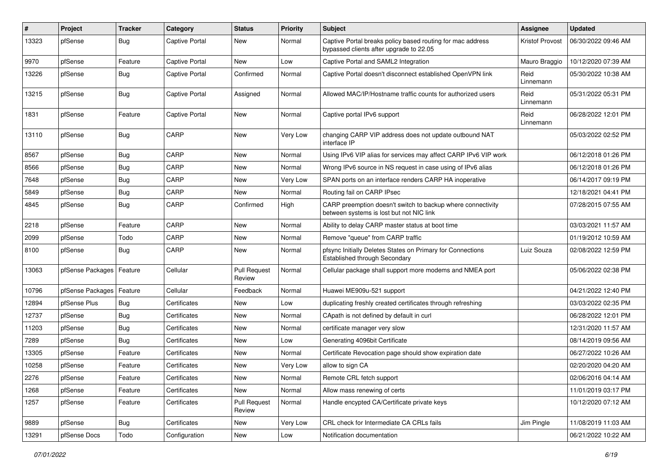| #     | Project          | <b>Tracker</b> | Category              | <b>Status</b>                 | <b>Priority</b> | Subject                                                                                                 | <b>Assignee</b>        | <b>Updated</b>      |
|-------|------------------|----------------|-----------------------|-------------------------------|-----------------|---------------------------------------------------------------------------------------------------------|------------------------|---------------------|
| 13323 | pfSense          | <b>Bug</b>     | <b>Captive Portal</b> | New                           | Normal          | Captive Portal breaks policy based routing for mac address<br>bypassed clients after upgrade to 22.05   | <b>Kristof Provost</b> | 06/30/2022 09:46 AM |
| 9970  | pfSense          | Feature        | Captive Portal        | New                           | Low             | Captive Portal and SAML2 Integration                                                                    | Mauro Braggio          | 10/12/2020 07:39 AM |
| 13226 | pfSense          | Bug            | <b>Captive Portal</b> | Confirmed                     | Normal          | Captive Portal doesn't disconnect established OpenVPN link                                              | Reid<br>Linnemann      | 05/30/2022 10:38 AM |
| 13215 | pfSense          | Bug            | Captive Portal        | Assigned                      | Normal          | Allowed MAC/IP/Hostname traffic counts for authorized users                                             | Reid<br>Linnemann      | 05/31/2022 05:31 PM |
| 1831  | pfSense          | Feature        | <b>Captive Portal</b> | New                           | Normal          | Captive portal IPv6 support                                                                             | Reid<br>Linnemann      | 06/28/2022 12:01 PM |
| 13110 | pfSense          | Bug            | CARP                  | New                           | Very Low        | changing CARP VIP address does not update outbound NAT<br>interface IP                                  |                        | 05/03/2022 02:52 PM |
| 8567  | pfSense          | <b>Bug</b>     | CARP                  | New                           | Normal          | Using IPv6 VIP alias for services may affect CARP IPv6 VIP work                                         |                        | 06/12/2018 01:26 PM |
| 8566  | pfSense          | <b>Bug</b>     | CARP                  | New                           | Normal          | Wrong IPv6 source in NS request in case using of IPv6 alias                                             |                        | 06/12/2018 01:26 PM |
| 7648  | pfSense          | <b>Bug</b>     | CARP                  | New                           | Very Low        | SPAN ports on an interface renders CARP HA inoperative                                                  |                        | 06/14/2017 09:19 PM |
| 5849  | pfSense          | Bug            | CARP                  | New                           | Normal          | Routing fail on CARP IPsec                                                                              |                        | 12/18/2021 04:41 PM |
| 4845  | pfSense          | <b>Bug</b>     | CARP                  | Confirmed                     | High            | CARP preemption doesn't switch to backup where connectivity<br>between systems is lost but not NIC link |                        | 07/28/2015 07:55 AM |
| 2218  | pfSense          | Feature        | CARP                  | New                           | Normal          | Ability to delay CARP master status at boot time                                                        |                        | 03/03/2021 11:57 AM |
| 2099  | pfSense          | Todo           | CARP                  | New                           | Normal          | Remove "queue" from CARP traffic                                                                        |                        | 01/19/2012 10:59 AM |
| 8100  | pfSense          | <b>Bug</b>     | CARP                  | New                           | Normal          | pfsync Initially Deletes States on Primary for Connections<br>Established through Secondary             | Luiz Souza             | 02/08/2022 12:59 PM |
| 13063 | pfSense Packages | Feature        | Cellular              | <b>Pull Request</b><br>Review | Normal          | Cellular package shall support more modems and NMEA port                                                |                        | 05/06/2022 02:38 PM |
| 10796 | pfSense Packages | Feature        | Cellular              | Feedback                      | Normal          | Huawei ME909u-521 support                                                                               |                        | 04/21/2022 12:40 PM |
| 12894 | pfSense Plus     | <b>Bug</b>     | Certificates          | New                           | Low             | duplicating freshly created certificates through refreshing                                             |                        | 03/03/2022 02:35 PM |
| 12737 | pfSense          | <b>Bug</b>     | Certificates          | New                           | Normal          | CApath is not defined by default in curl                                                                |                        | 06/28/2022 12:01 PM |
| 11203 | pfSense          | <b>Bug</b>     | Certificates          | New                           | Normal          | certificate manager very slow                                                                           |                        | 12/31/2020 11:57 AM |
| 7289  | pfSense          | <b>Bug</b>     | Certificates          | New                           | Low             | Generating 4096bit Certificate                                                                          |                        | 08/14/2019 09:56 AM |
| 13305 | pfSense          | Feature        | Certificates          | New                           | Normal          | Certificate Revocation page should show expiration date                                                 |                        | 06/27/2022 10:26 AM |
| 10258 | pfSense          | Feature        | Certificates          | New                           | Very Low        | allow to sign CA                                                                                        |                        | 02/20/2020 04:20 AM |
| 2276  | pfSense          | Feature        | Certificates          | New                           | Normal          | Remote CRL fetch support                                                                                |                        | 02/06/2016 04:14 AM |
| 1268  | pfSense          | Feature        | Certificates          | New                           | Normal          | Allow mass renewing of certs                                                                            |                        | 11/01/2019 03:17 PM |
| 1257  | pfSense          | Feature        | Certificates          | <b>Pull Request</b><br>Review | Normal          | Handle encypted CA/Certificate private keys                                                             |                        | 10/12/2020 07:12 AM |
| 9889  | pfSense          | <b>Bug</b>     | Certificates          | New                           | Very Low        | CRL check for Intermediate CA CRLs fails                                                                | Jim Pingle             | 11/08/2019 11:03 AM |
| 13291 | pfSense Docs     | Todo           | Configuration         | New                           | Low             | Notification documentation                                                                              |                        | 06/21/2022 10:22 AM |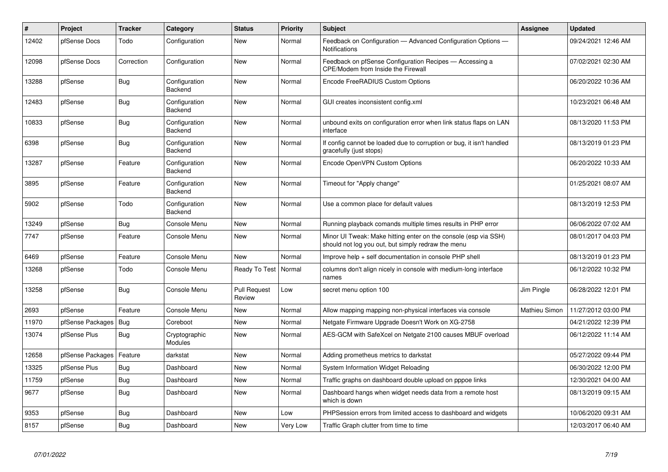| #     | Project          | <b>Tracker</b> | Category                        | <b>Status</b>                 | <b>Priority</b> | <b>Subject</b>                                                                                                        | <b>Assignee</b> | <b>Updated</b>      |
|-------|------------------|----------------|---------------------------------|-------------------------------|-----------------|-----------------------------------------------------------------------------------------------------------------------|-----------------|---------------------|
| 12402 | pfSense Docs     | Todo           | Configuration                   | <b>New</b>                    | Normal          | Feedback on Configuration - Advanced Configuration Options -<br>Notifications                                         |                 | 09/24/2021 12:46 AM |
| 12098 | pfSense Docs     | Correction     | Configuration                   | New                           | Normal          | Feedback on pfSense Configuration Recipes - Accessing a<br><b>CPE/Modem from Inside the Firewall</b>                  |                 | 07/02/2021 02:30 AM |
| 13288 | pfSense          | <b>Bug</b>     | Configuration<br>Backend        | New                           | Normal          | Encode FreeRADIUS Custom Options                                                                                      |                 | 06/20/2022 10:36 AM |
| 12483 | pfSense          | Bug            | Configuration<br>Backend        | <b>New</b>                    | Normal          | GUI creates inconsistent config.xml                                                                                   |                 | 10/23/2021 06:48 AM |
| 10833 | pfSense          | <b>Bug</b>     | Configuration<br>Backend        | New                           | Normal          | unbound exits on configuration error when link status flaps on LAN<br>interface                                       |                 | 08/13/2020 11:53 PM |
| 6398  | pfSense          | Bug            | Configuration<br>Backend        | <b>New</b>                    | Normal          | If config cannot be loaded due to corruption or bug, it isn't handled<br>gracefully (just stops)                      |                 | 08/13/2019 01:23 PM |
| 13287 | pfSense          | Feature        | Configuration<br>Backend        | <b>New</b>                    | Normal          | Encode OpenVPN Custom Options                                                                                         |                 | 06/20/2022 10:33 AM |
| 3895  | pfSense          | Feature        | Configuration<br>Backend        | <b>New</b>                    | Normal          | Timeout for "Apply change"                                                                                            |                 | 01/25/2021 08:07 AM |
| 5902  | pfSense          | Todo           | Configuration<br>Backend        | New                           | Normal          | Use a common place for default values                                                                                 |                 | 08/13/2019 12:53 PM |
| 13249 | pfSense          | <b>Bug</b>     | Console Menu                    | <b>New</b>                    | Normal          | Running playback comands multiple times results in PHP error                                                          |                 | 06/06/2022 07:02 AM |
| 7747  | pfSense          | Feature        | Console Menu                    | New                           | Normal          | Minor UI Tweak: Make hitting enter on the console (esp via SSH)<br>should not log you out, but simply redraw the menu |                 | 08/01/2017 04:03 PM |
| 6469  | pfSense          | Feature        | Console Menu                    | New                           | Normal          | Improve help + self documentation in console PHP shell                                                                |                 | 08/13/2019 01:23 PM |
| 13268 | pfSense          | Todo           | Console Menu                    | Ready To Test                 | Normal          | columns don't align nicely in console with medium-long interface<br>names                                             |                 | 06/12/2022 10:32 PM |
| 13258 | pfSense          | <b>Bug</b>     | Console Menu                    | <b>Pull Request</b><br>Review | Low             | secret menu option 100                                                                                                | Jim Pingle      | 06/28/2022 12:01 PM |
| 2693  | pfSense          | Feature        | Console Menu                    | <b>New</b>                    | Normal          | Allow mapping mapping non-physical interfaces via console                                                             | Mathieu Simon   | 11/27/2012 03:00 PM |
| 11970 | pfSense Packages | Bug            | Coreboot                        | <b>New</b>                    | Normal          | Netgate Firmware Upgrade Doesn't Work on XG-2758                                                                      |                 | 04/21/2022 12:39 PM |
| 13074 | pfSense Plus     | Bug            | Cryptographic<br><b>Modules</b> | New                           | Normal          | AES-GCM with SafeXcel on Netgate 2100 causes MBUF overload                                                            |                 | 06/12/2022 11:14 AM |
| 12658 | pfSense Packages | Feature        | darkstat                        | <b>New</b>                    | Normal          | Adding prometheus metrics to darkstat                                                                                 |                 | 05/27/2022 09:44 PM |
| 13325 | pfSense Plus     | <b>Bug</b>     | Dashboard                       | New                           | Normal          | System Information Widget Reloading                                                                                   |                 | 06/30/2022 12:00 PM |
| 11759 | pfSense          | Bug            | Dashboard                       | <b>New</b>                    | Normal          | Traffic graphs on dashboard double upload on pppoe links                                                              |                 | 12/30/2021 04:00 AM |
| 9677  | pfSense          | <b>Bug</b>     | Dashboard                       | <b>New</b>                    | Normal          | Dashboard hangs when widget needs data from a remote host<br>which is down                                            |                 | 08/13/2019 09:15 AM |
| 9353  | pfSense          | Bug            | Dashboard                       | New                           | Low             | PHPSession errors from limited access to dashboard and widgets                                                        |                 | 10/06/2020 09:31 AM |
| 8157  | pfSense          | Bug            | Dashboard                       | New                           | Very Low        | Traffic Graph clutter from time to time                                                                               |                 | 12/03/2017 06:40 AM |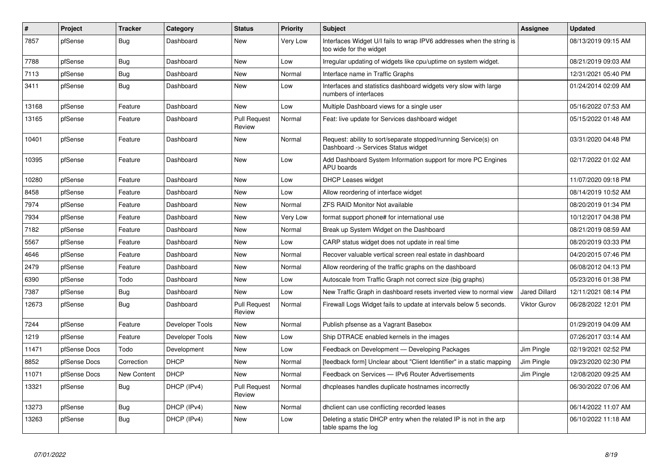| $\vert$ # | <b>Project</b> | <b>Tracker</b>     | Category        | <b>Status</b>                 | <b>Priority</b> | <b>Subject</b>                                                                                         | Assignee             | <b>Updated</b>      |
|-----------|----------------|--------------------|-----------------|-------------------------------|-----------------|--------------------------------------------------------------------------------------------------------|----------------------|---------------------|
| 7857      | pfSense        | Bug                | Dashboard       | <b>New</b>                    | Very Low        | Interfaces Widget U/I fails to wrap IPV6 addresses when the string is<br>too wide for the widget       |                      | 08/13/2019 09:15 AM |
| 7788      | pfSense        | <b>Bug</b>         | Dashboard       | <b>New</b>                    | Low             | Irregular updating of widgets like cpu/uptime on system widget.                                        |                      | 08/21/2019 09:03 AM |
| 7113      | pfSense        | <b>Bug</b>         | Dashboard       | <b>New</b>                    | Normal          | Interface name in Traffic Graphs                                                                       |                      | 12/31/2021 05:40 PM |
| 3411      | pfSense        | <b>Bug</b>         | Dashboard       | <b>New</b>                    | Low             | Interfaces and statistics dashboard widgets very slow with large<br>numbers of interfaces              |                      | 01/24/2014 02:09 AM |
| 13168     | pfSense        | Feature            | Dashboard       | <b>New</b>                    | Low             | Multiple Dashboard views for a single user                                                             |                      | 05/16/2022 07:53 AM |
| 13165     | pfSense        | Feature            | Dashboard       | <b>Pull Request</b><br>Review | Normal          | Feat: live update for Services dashboard widget                                                        |                      | 05/15/2022 01:48 AM |
| 10401     | pfSense        | Feature            | Dashboard       | <b>New</b>                    | Normal          | Request: ability to sort/separate stopped/running Service(s) on<br>Dashboard -> Services Status widget |                      | 03/31/2020 04:48 PM |
| 10395     | pfSense        | Feature            | Dashboard       | <b>New</b>                    | Low             | Add Dashboard System Information support for more PC Engines<br><b>APU</b> boards                      |                      | 02/17/2022 01:02 AM |
| 10280     | pfSense        | Feature            | Dashboard       | <b>New</b>                    | Low             | DHCP Leases widget                                                                                     |                      | 11/07/2020 09:18 PM |
| 8458      | pfSense        | Feature            | Dashboard       | <b>New</b>                    | Low             | Allow reordering of interface widget                                                                   |                      | 08/14/2019 10:52 AM |
| 7974      | pfSense        | Feature            | Dashboard       | <b>New</b>                    | Normal          | <b>ZFS RAID Monitor Not available</b>                                                                  |                      | 08/20/2019 01:34 PM |
| 7934      | pfSense        | Feature            | Dashboard       | <b>New</b>                    | Very Low        | format support phone# for international use                                                            |                      | 10/12/2017 04:38 PM |
| 7182      | pfSense        | Feature            | Dashboard       | <b>New</b>                    | Normal          | Break up System Widget on the Dashboard                                                                |                      | 08/21/2019 08:59 AM |
| 5567      | pfSense        | Feature            | Dashboard       | <b>New</b>                    | Low             | CARP status widget does not update in real time                                                        |                      | 08/20/2019 03:33 PM |
| 4646      | pfSense        | Feature            | Dashboard       | <b>New</b>                    | Normal          | Recover valuable vertical screen real estate in dashboard                                              |                      | 04/20/2015 07:46 PM |
| 2479      | pfSense        | Feature            | Dashboard       | <b>New</b>                    | Normal          | Allow reordering of the traffic graphs on the dashboard                                                |                      | 06/08/2012 04:13 PM |
| 6390      | pfSense        | Todo               | Dashboard       | <b>New</b>                    | Low             | Autoscale from Traffic Graph not correct size (big graphs)                                             |                      | 05/23/2016 01:38 PM |
| 7387      | pfSense        | <b>Bug</b>         | Dashboard       | <b>New</b>                    | Low             | New Traffic Graph in dashboard resets inverted view to normal view                                     | <b>Jared Dillard</b> | 12/11/2021 08:14 PM |
| 12673     | pfSense        | Bug                | Dashboard       | <b>Pull Request</b><br>Review | Normal          | Firewall Logs Widget fails to update at intervals below 5 seconds.                                     | <b>Viktor Gurov</b>  | 06/28/2022 12:01 PM |
| 7244      | pfSense        | Feature            | Developer Tools | <b>New</b>                    | Normal          | Publish pfsense as a Vagrant Basebox                                                                   |                      | 01/29/2019 04:09 AM |
| 1219      | pfSense        | Feature            | Developer Tools | <b>New</b>                    | Low             | Ship DTRACE enabled kernels in the images                                                              |                      | 07/26/2017 03:14 AM |
| 11471     | pfSense Docs   | Todo               | Development     | <b>New</b>                    | Low             | Feedback on Development - Developing Packages                                                          | Jim Pingle           | 02/19/2021 02:52 PM |
| 8852      | pfSense Docs   | Correction         | <b>DHCP</b>     | <b>New</b>                    | Normal          | [feedback form] Unclear about "Client Identifier" in a static mapping                                  | Jim Pingle           | 09/23/2020 02:30 PM |
| 11071     | pfSense Docs   | <b>New Content</b> | <b>DHCP</b>     | <b>New</b>                    | Normal          | Feedback on Services - IPv6 Router Advertisements                                                      | Jim Pingle           | 12/08/2020 09:25 AM |
| 13321     | pfSense        | <b>Bug</b>         | DHCP (IPv4)     | <b>Pull Request</b><br>Review | Normal          | dhcpleases handles duplicate hostnames incorrectly                                                     |                      | 06/30/2022 07:06 AM |
| 13273     | pfSense        | Bug                | DHCP (IPv4)     | <b>New</b>                    | Normal          | dhclient can use conflicting recorded leases                                                           |                      | 06/14/2022 11:07 AM |
| 13263     | pfSense        | Bug                | DHCP (IPv4)     | <b>New</b>                    | Low             | Deleting a static DHCP entry when the related IP is not in the arp<br>table spams the log              |                      | 06/10/2022 11:18 AM |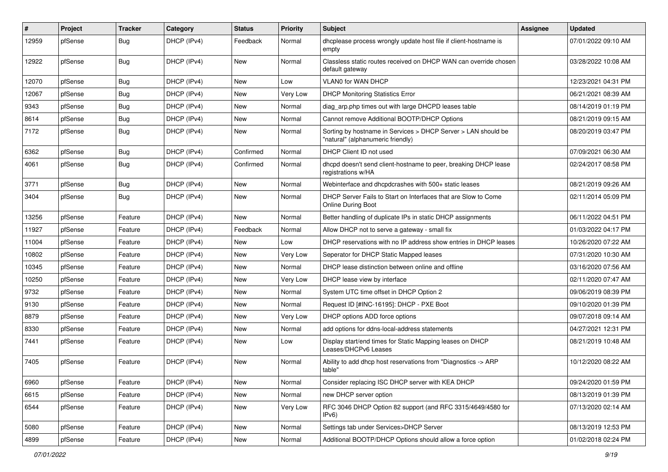| #     | Project | <b>Tracker</b> | Category    | <b>Status</b> | <b>Priority</b> | Subject                                                                                            | Assignee | <b>Updated</b>      |
|-------|---------|----------------|-------------|---------------|-----------------|----------------------------------------------------------------------------------------------------|----------|---------------------|
| 12959 | pfSense | <b>Bug</b>     | DHCP (IPv4) | Feedback      | Normal          | dhcplease process wrongly update host file if client-hostname is<br>empty                          |          | 07/01/2022 09:10 AM |
| 12922 | pfSense | <b>Bug</b>     | DHCP (IPv4) | New           | Normal          | Classless static routes received on DHCP WAN can override chosen<br>default gateway                |          | 03/28/2022 10:08 AM |
| 12070 | pfSense | <b>Bug</b>     | DHCP (IPv4) | <b>New</b>    | Low             | VLAN0 for WAN DHCP                                                                                 |          | 12/23/2021 04:31 PM |
| 12067 | pfSense | <b>Bug</b>     | DHCP (IPv4) | New           | Very Low        | <b>DHCP Monitoring Statistics Error</b>                                                            |          | 06/21/2021 08:39 AM |
| 9343  | pfSense | <b>Bug</b>     | DHCP (IPv4) | <b>New</b>    | Normal          | diag_arp.php times out with large DHCPD leases table                                               |          | 08/14/2019 01:19 PM |
| 8614  | pfSense | <b>Bug</b>     | DHCP (IPv4) | New           | Normal          | Cannot remove Additional BOOTP/DHCP Options                                                        |          | 08/21/2019 09:15 AM |
| 7172  | pfSense | <b>Bug</b>     | DHCP (IPv4) | New           | Normal          | Sorting by hostname in Services > DHCP Server > LAN should be<br>"natural" (alphanumeric friendly) |          | 08/20/2019 03:47 PM |
| 6362  | pfSense | Bug            | DHCP (IPv4) | Confirmed     | Normal          | DHCP Client ID not used                                                                            |          | 07/09/2021 06:30 AM |
| 4061  | pfSense | <b>Bug</b>     | DHCP (IPv4) | Confirmed     | Normal          | dhcpd doesn't send client-hostname to peer, breaking DHCP lease<br>registrations w/HA              |          | 02/24/2017 08:58 PM |
| 3771  | pfSense | <b>Bug</b>     | DHCP (IPv4) | New           | Normal          | Webinterface and dhcpdcrashes with 500+ static leases                                              |          | 08/21/2019 09:26 AM |
| 3404  | pfSense | Bug            | DHCP (IPv4) | New           | Normal          | DHCP Server Fails to Start on Interfaces that are Slow to Come<br><b>Online During Boot</b>        |          | 02/11/2014 05:09 PM |
| 13256 | pfSense | Feature        | DHCP (IPv4) | <b>New</b>    | Normal          | Better handling of duplicate IPs in static DHCP assignments                                        |          | 06/11/2022 04:51 PM |
| 11927 | pfSense | Feature        | DHCP (IPv4) | Feedback      | Normal          | Allow DHCP not to serve a gateway - small fix                                                      |          | 01/03/2022 04:17 PM |
| 11004 | pfSense | Feature        | DHCP (IPv4) | New           | Low             | DHCP reservations with no IP address show entries in DHCP leases                                   |          | 10/26/2020 07:22 AM |
| 10802 | pfSense | Feature        | DHCP (IPv4) | New           | Very Low        | Seperator for DHCP Static Mapped leases                                                            |          | 07/31/2020 10:30 AM |
| 10345 | pfSense | Feature        | DHCP (IPv4) | <b>New</b>    | Normal          | DHCP lease distinction between online and offline                                                  |          | 03/16/2020 07:56 AM |
| 10250 | pfSense | Feature        | DHCP (IPv4) | New           | Very Low        | DHCP lease view by interface                                                                       |          | 02/11/2020 07:47 AM |
| 9732  | pfSense | Feature        | DHCP (IPv4) | <b>New</b>    | Normal          | System UTC time offset in DHCP Option 2                                                            |          | 09/06/2019 08:39 PM |
| 9130  | pfSense | Feature        | DHCP (IPv4) | New           | Normal          | Request ID [#INC-16195]: DHCP - PXE Boot                                                           |          | 09/10/2020 01:39 PM |
| 8879  | pfSense | Feature        | DHCP (IPv4) | <b>New</b>    | Very Low        | DHCP options ADD force options                                                                     |          | 09/07/2018 09:14 AM |
| 8330  | pfSense | Feature        | DHCP (IPv4) | <b>New</b>    | Normal          | add options for ddns-local-address statements                                                      |          | 04/27/2021 12:31 PM |
| 7441  | pfSense | Feature        | DHCP (IPv4) | <b>New</b>    | Low             | Display start/end times for Static Mapping leases on DHCP<br>Leases/DHCPv6 Leases                  |          | 08/21/2019 10:48 AM |
| 7405  | pfSense | Feature        | DHCP (IPv4) | <b>New</b>    | Normal          | Ability to add dhcp host reservations from "Diagnostics -> ARP<br>table"                           |          | 10/12/2020 08:22 AM |
| 6960  | pfSense | Feature        | DHCP (IPv4) | New           | Normal          | Consider replacing ISC DHCP server with KEA DHCP                                                   |          | 09/24/2020 01:59 PM |
| 6615  | pfSense | Feature        | DHCP (IPv4) | New           | Normal          | new DHCP server option                                                                             |          | 08/13/2019 01:39 PM |
| 6544  | pfSense | Feature        | DHCP (IPv4) | New           | Very Low        | RFC 3046 DHCP Option 82 support (and RFC 3315/4649/4580 for<br>IPv6                                |          | 07/13/2020 02:14 AM |
| 5080  | pfSense | Feature        | DHCP (IPv4) | New           | Normal          | Settings tab under Services>DHCP Server                                                            |          | 08/13/2019 12:53 PM |
| 4899  | pfSense | Feature        | DHCP (IPv4) | New           | Normal          | Additional BOOTP/DHCP Options should allow a force option                                          |          | 01/02/2018 02:24 PM |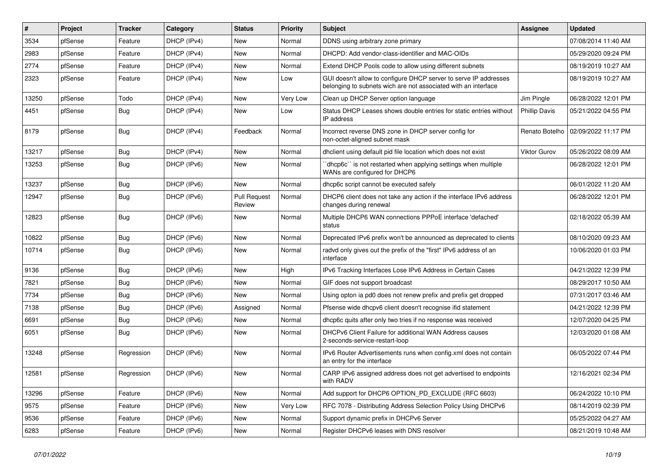| $\vert$ # | Project | <b>Tracker</b> | Category    | <b>Status</b>                 | <b>Priority</b> | <b>Subject</b>                                                                                                                     | <b>Assignee</b>      | <b>Updated</b>      |
|-----------|---------|----------------|-------------|-------------------------------|-----------------|------------------------------------------------------------------------------------------------------------------------------------|----------------------|---------------------|
| 3534      | pfSense | Feature        | DHCP (IPv4) | New                           | Normal          | DDNS using arbitrary zone primary                                                                                                  |                      | 07/08/2014 11:40 AM |
| 2983      | pfSense | Feature        | DHCP (IPv4) | <b>New</b>                    | Normal          | DHCPD: Add vendor-class-identifier and MAC-OIDs                                                                                    |                      | 05/29/2020 09:24 PM |
| 2774      | pfSense | Feature        | DHCP (IPv4) | New                           | Normal          | Extend DHCP Pools code to allow using different subnets                                                                            |                      | 08/19/2019 10:27 AM |
| 2323      | pfSense | Feature        | DHCP (IPv4) | New                           | Low             | GUI doesn't allow to configure DHCP server to serve IP addresses<br>belonging to subnets wich are not associated with an interface |                      | 08/19/2019 10:27 AM |
| 13250     | pfSense | Todo           | DHCP (IPv4) | <b>New</b>                    | <b>Very Low</b> | Clean up DHCP Server option language                                                                                               | Jim Pingle           | 06/28/2022 12:01 PM |
| 4451      | pfSense | Bug            | DHCP (IPv4) | <b>New</b>                    | Low             | Status DHCP Leases shows double entries for static entries without<br>IP address                                                   | <b>Phillip Davis</b> | 05/21/2022 04:55 PM |
| 8179      | pfSense | Bug            | DHCP (IPv4) | Feedback                      | Normal          | Incorrect reverse DNS zone in DHCP server config for<br>non-octet-aligned subnet mask                                              | Renato Botelho       | 02/09/2022 11:17 PM |
| 13217     | pfSense | Bug            | DHCP (IPv4) | New                           | Normal          | dhclient using default pid file location which does not exist                                                                      | Viktor Gurov         | 05/26/2022 08:09 AM |
| 13253     | pfSense | <b>Bug</b>     | DHCP (IPv6) | <b>New</b>                    | Normal          | dhcp6c" is not restarted when applying settings when multiple<br>WANs are configured for DHCP6                                     |                      | 06/28/2022 12:01 PM |
| 13237     | pfSense | Bug            | DHCP (IPv6) | <b>New</b>                    | Normal          | dhcp6c script cannot be executed safely                                                                                            |                      | 06/01/2022 11:20 AM |
| 12947     | pfSense | Bug            | DHCP (IPv6) | <b>Pull Request</b><br>Review | Normal          | DHCP6 client does not take any action if the interface IPv6 address<br>changes during renewal                                      |                      | 06/28/2022 12:01 PM |
| 12823     | pfSense | <b>Bug</b>     | DHCP (IPv6) | New                           | Normal          | Multiple DHCP6 WAN connections PPPoE interface 'defached'<br>status                                                                |                      | 02/18/2022 05:39 AM |
| 10822     | pfSense | Bug            | DHCP (IPv6) | New                           | Normal          | Deprecated IPv6 prefix won't be announced as deprecated to clients                                                                 |                      | 08/10/2020 09:23 AM |
| 10714     | pfSense | Bug            | DHCP (IPv6) | <b>New</b>                    | Normal          | radvd only gives out the prefix of the "first" IPv6 address of an<br>interface                                                     |                      | 10/06/2020 01:03 PM |
| 9136      | pfSense | Bug            | DHCP (IPv6) | New                           | High            | IPv6 Tracking Interfaces Lose IPv6 Address in Certain Cases                                                                        |                      | 04/21/2022 12:39 PM |
| 7821      | pfSense | <b>Bug</b>     | DHCP (IPv6) | <b>New</b>                    | Normal          | GIF does not support broadcast                                                                                                     |                      | 08/29/2017 10:50 AM |
| 7734      | pfSense | <b>Bug</b>     | DHCP (IPv6) | <b>New</b>                    | Normal          | Using opton ia pd0 does not renew prefix and prefix get dropped                                                                    |                      | 07/31/2017 03:46 AM |
| 7138      | pfSense | Bug            | DHCP (IPv6) | Assigned                      | Normal          | Pfsense wide dhcpv6 client doesn't recognise ifid statement                                                                        |                      | 04/21/2022 12:39 PM |
| 6691      | pfSense | Bug            | DHCP (IPv6) | New                           | Normal          | dhcp6c quits after only two tries if no response was received                                                                      |                      | 12/07/2020 04:25 PM |
| 6051      | pfSense | <b>Bug</b>     | DHCP (IPv6) | New                           | Normal          | DHCPv6 Client Failure for additional WAN Address causes<br>2-seconds-service-restart-loop                                          |                      | 12/03/2020 01:08 AM |
| 13248     | pfSense | Regression     | DHCP (IPv6) | New                           | Normal          | IPv6 Router Advertisements runs when config.xml does not contain<br>an entry for the interface                                     |                      | 06/05/2022 07:44 PM |
| 12581     | pfSense | Regression     | DHCP (IPv6) | <b>New</b>                    | Normal          | CARP IPv6 assigned address does not get advertised to endpoints<br>with RADV                                                       |                      | 12/16/2021 02:34 PM |
| 13296     | pfSense | Feature        | DHCP (IPv6) | New                           | Normal          | Add support for DHCP6 OPTION PD EXCLUDE (RFC 6603)                                                                                 |                      | 06/24/2022 10:10 PM |
| 9575      | pfSense | Feature        | DHCP (IPv6) | New                           | Very Low        | RFC 7078 - Distributing Address Selection Policy Using DHCPv6                                                                      |                      | 08/14/2019 02:39 PM |
| 9536      | pfSense | Feature        | DHCP (IPv6) | New                           | Normal          | Support dynamic prefix in DHCPv6 Server                                                                                            |                      | 05/25/2022 04:27 AM |
| 6283      | pfSense | Feature        | DHCP (IPv6) | New                           | Normal          | Register DHCPv6 leases with DNS resolver                                                                                           |                      | 08/21/2019 10:48 AM |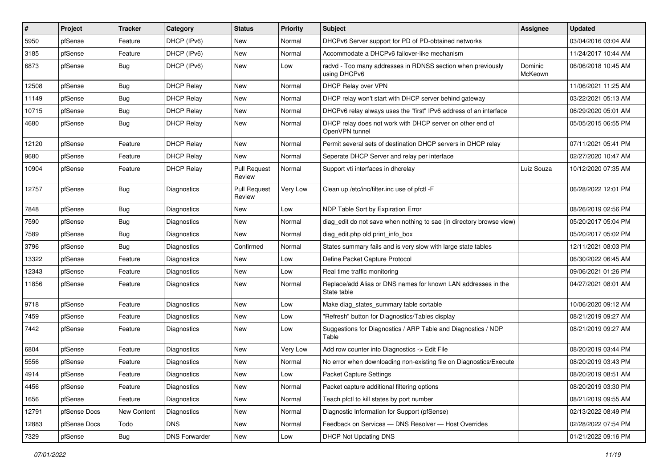| #     | Project      | <b>Tracker</b> | Category             | <b>Status</b>                 | <b>Priority</b> | Subject                                                                      | <b>Assignee</b>    | <b>Updated</b>      |
|-------|--------------|----------------|----------------------|-------------------------------|-----------------|------------------------------------------------------------------------------|--------------------|---------------------|
| 5950  | pfSense      | Feature        | DHCP (IPv6)          | New                           | Normal          | DHCPv6 Server support for PD of PD-obtained networks                         |                    | 03/04/2016 03:04 AM |
| 3185  | pfSense      | Feature        | DHCP (IPv6)          | New                           | Normal          | Accommodate a DHCPv6 failover-like mechanism                                 |                    | 11/24/2017 10:44 AM |
| 6873  | pfSense      | Bug            | DHCP (IPv6)          | New                           | Low             | radvd - Too many addresses in RDNSS section when previously<br>using DHCPv6  | Dominic<br>McKeown | 06/06/2018 10:45 AM |
| 12508 | pfSense      | <b>Bug</b>     | <b>DHCP Relay</b>    | New                           | Normal          | DHCP Relay over VPN                                                          |                    | 11/06/2021 11:25 AM |
| 11149 | pfSense      | <b>Bug</b>     | <b>DHCP Relay</b>    | New                           | Normal          | DHCP relay won't start with DHCP server behind gateway                       |                    | 03/22/2021 05:13 AM |
| 10715 | pfSense      | <b>Bug</b>     | <b>DHCP Relay</b>    | New                           | Normal          | DHCPv6 relay always uses the "first" IPv6 address of an interface            |                    | 06/29/2020 05:01 AM |
| 4680  | pfSense      | <b>Bug</b>     | <b>DHCP Relay</b>    | <b>New</b>                    | Normal          | DHCP relay does not work with DHCP server on other end of<br>OpenVPN tunnel  |                    | 05/05/2015 06:55 PM |
| 12120 | pfSense      | Feature        | <b>DHCP Relay</b>    | New                           | Normal          | Permit several sets of destination DHCP servers in DHCP relay                |                    | 07/11/2021 05:41 PM |
| 9680  | pfSense      | Feature        | DHCP Relav           | New                           | Normal          | Seperate DHCP Server and relay per interface                                 |                    | 02/27/2020 10:47 AM |
| 10904 | pfSense      | Feature        | <b>DHCP Relay</b>    | <b>Pull Request</b><br>Review | Normal          | Support vti interfaces in dhcrelay                                           | Luiz Souza         | 10/12/2020 07:35 AM |
| 12757 | pfSense      | Bug            | Diagnostics          | <b>Pull Request</b><br>Review | Very Low        | Clean up /etc/inc/filter.inc use of pfctl -F                                 |                    | 06/28/2022 12:01 PM |
| 7848  | pfSense      | <b>Bug</b>     | Diagnostics          | New                           | Low             | NDP Table Sort by Expiration Error                                           |                    | 08/26/2019 02:56 PM |
| 7590  | pfSense      | Bug            | Diagnostics          | New                           | Normal          | diag edit do not save when nothing to sae (in directory browse view)         |                    | 05/20/2017 05:04 PM |
| 7589  | pfSense      | <b>Bug</b>     | Diagnostics          | <b>New</b>                    | Normal          | diag edit.php old print info box                                             |                    | 05/20/2017 05:02 PM |
| 3796  | pfSense      | Bug            | Diagnostics          | Confirmed                     | Normal          | States summary fails and is very slow with large state tables                |                    | 12/11/2021 08:03 PM |
| 13322 | pfSense      | Feature        | Diagnostics          | New                           | Low             | Define Packet Capture Protocol                                               |                    | 06/30/2022 06:45 AM |
| 12343 | pfSense      | Feature        | Diagnostics          | <b>New</b>                    | Low             | Real time traffic monitoring                                                 |                    | 09/06/2021 01:26 PM |
| 11856 | pfSense      | Feature        | Diagnostics          | New                           | Normal          | Replace/add Alias or DNS names for known LAN addresses in the<br>State table |                    | 04/27/2021 08:01 AM |
| 9718  | pfSense      | Feature        | Diagnostics          | <b>New</b>                    | Low             | Make diag_states_summary table sortable                                      |                    | 10/06/2020 09:12 AM |
| 7459  | pfSense      | Feature        | Diagnostics          | New                           | Low             | "Refresh" button for Diagnostics/Tables display                              |                    | 08/21/2019 09:27 AM |
| 7442  | pfSense      | Feature        | Diagnostics          | New                           | Low             | Suggestions for Diagnostics / ARP Table and Diagnostics / NDP<br>Table       |                    | 08/21/2019 09:27 AM |
| 6804  | pfSense      | Feature        | Diagnostics          | New                           | Very Low        | Add row counter into Diagnostics -> Edit File                                |                    | 08/20/2019 03:44 PM |
| 5556  | pfSense      | Feature        | Diagnostics          | New                           | Normal          | No error when downloading non-existing file on Diagnostics/Execute           |                    | 08/20/2019 03:43 PM |
| 4914  | pfSense      | Feature        | Diagnostics          | New                           | Low             | <b>Packet Capture Settings</b>                                               |                    | 08/20/2019 08:51 AM |
| 4456  | pfSense      | Feature        | Diagnostics          | New                           | Normal          | Packet capture additional filtering options                                  |                    | 08/20/2019 03:30 PM |
| 1656  | pfSense      | Feature        | Diagnostics          | New                           | Normal          | Teach pfctl to kill states by port number                                    |                    | 08/21/2019 09:55 AM |
| 12791 | pfSense Docs | New Content    | Diagnostics          | New                           | Normal          | Diagnostic Information for Support (pfSense)                                 |                    | 02/13/2022 08:49 PM |
| 12883 | pfSense Docs | Todo           | <b>DNS</b>           | New                           | Normal          | Feedback on Services - DNS Resolver - Host Overrides                         |                    | 02/28/2022 07:54 PM |
| 7329  | pfSense      | <b>Bug</b>     | <b>DNS Forwarder</b> | New                           | Low             | DHCP Not Updating DNS                                                        |                    | 01/21/2022 09:16 PM |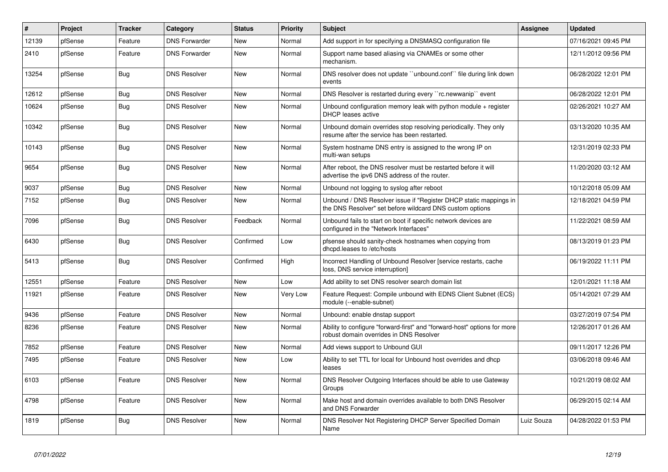| #     | Project | <b>Tracker</b> | Category             | <b>Status</b> | <b>Priority</b> | <b>Subject</b>                                                                                                                | <b>Assignee</b> | <b>Updated</b>      |
|-------|---------|----------------|----------------------|---------------|-----------------|-------------------------------------------------------------------------------------------------------------------------------|-----------------|---------------------|
| 12139 | pfSense | Feature        | <b>DNS Forwarder</b> | <b>New</b>    | Normal          | Add support in for specifying a DNSMASQ configuration file                                                                    |                 | 07/16/2021 09:45 PM |
| 2410  | pfSense | Feature        | <b>DNS Forwarder</b> | <b>New</b>    | Normal          | Support name based aliasing via CNAMEs or some other<br>mechanism.                                                            |                 | 12/11/2012 09:56 PM |
| 13254 | pfSense | Bug            | <b>DNS Resolver</b>  | <b>New</b>    | Normal          | DNS resolver does not update "unbound.conf" file during link down<br>events                                                   |                 | 06/28/2022 12:01 PM |
| 12612 | pfSense | <b>Bug</b>     | <b>DNS Resolver</b>  | New           | Normal          | DNS Resolver is restarted during every "rc.newwanip" event                                                                    |                 | 06/28/2022 12:01 PM |
| 10624 | pfSense | Bug            | <b>DNS Resolver</b>  | New           | Normal          | Unbound configuration memory leak with python module $+$ register<br>DHCP leases active                                       |                 | 02/26/2021 10:27 AM |
| 10342 | pfSense | <b>Bug</b>     | <b>DNS Resolver</b>  | New           | Normal          | Unbound domain overrides stop resolving periodically. They only<br>resume after the service has been restarted.               |                 | 03/13/2020 10:35 AM |
| 10143 | pfSense | Bug            | <b>DNS Resolver</b>  | <b>New</b>    | Normal          | System hostname DNS entry is assigned to the wrong IP on<br>multi-wan setups                                                  |                 | 12/31/2019 02:33 PM |
| 9654  | pfSense | <b>Bug</b>     | <b>DNS Resolver</b>  | <b>New</b>    | Normal          | After reboot, the DNS resolver must be restarted before it will<br>advertise the ipv6 DNS address of the router.              |                 | 11/20/2020 03:12 AM |
| 9037  | pfSense | <b>Bug</b>     | <b>DNS Resolver</b>  | New           | Normal          | Unbound not logging to syslog after reboot                                                                                    |                 | 10/12/2018 05:09 AM |
| 7152  | pfSense | <b>Bug</b>     | <b>DNS Resolver</b>  | New           | Normal          | Unbound / DNS Resolver issue if "Register DHCP static mappings in<br>the DNS Resolver" set before wildcard DNS custom options |                 | 12/18/2021 04:59 PM |
| 7096  | pfSense | Bug            | <b>DNS Resolver</b>  | Feedback      | Normal          | Unbound fails to start on boot if specific network devices are<br>configured in the "Network Interfaces"                      |                 | 11/22/2021 08:59 AM |
| 6430  | pfSense | Bug            | <b>DNS Resolver</b>  | Confirmed     | Low             | pfsense should sanity-check hostnames when copying from<br>dhcpd.leases to /etc/hosts                                         |                 | 08/13/2019 01:23 PM |
| 5413  | pfSense | Bug            | <b>DNS Resolver</b>  | Confirmed     | High            | Incorrect Handling of Unbound Resolver [service restarts, cache<br>loss, DNS service interruption]                            |                 | 06/19/2022 11:11 PM |
| 12551 | pfSense | Feature        | <b>DNS Resolver</b>  | New           | Low             | Add ability to set DNS resolver search domain list                                                                            |                 | 12/01/2021 11:18 AM |
| 11921 | pfSense | Feature        | <b>DNS Resolver</b>  | New           | Very Low        | Feature Request: Compile unbound with EDNS Client Subnet (ECS)<br>module (--enable-subnet)                                    |                 | 05/14/2021 07:29 AM |
| 9436  | pfSense | Feature        | <b>DNS Resolver</b>  | New           | Normal          | Unbound: enable dnstap support                                                                                                |                 | 03/27/2019 07:54 PM |
| 8236  | pfSense | Feature        | <b>DNS Resolver</b>  | New           | Normal          | Ability to configure "forward-first" and "forward-host" options for more<br>robust domain overrides in DNS Resolver           |                 | 12/26/2017 01:26 AM |
| 7852  | pfSense | Feature        | <b>DNS Resolver</b>  | <b>New</b>    | Normal          | Add views support to Unbound GUI                                                                                              |                 | 09/11/2017 12:26 PM |
| 7495  | pfSense | Feature        | <b>DNS Resolver</b>  | New           | Low             | Ability to set TTL for local for Unbound host overrides and dhcp<br>leases                                                    |                 | 03/06/2018 09:46 AM |
| 6103  | pfSense | Feature        | <b>DNS Resolver</b>  | <b>New</b>    | Normal          | DNS Resolver Outgoing Interfaces should be able to use Gateway<br>Groups                                                      |                 | 10/21/2019 08:02 AM |
| 4798  | pfSense | Feature        | <b>DNS Resolver</b>  | <b>New</b>    | Normal          | Make host and domain overrides available to both DNS Resolver<br>and DNS Forwarder                                            |                 | 06/29/2015 02:14 AM |
| 1819  | pfSense | Bug            | <b>DNS Resolver</b>  | <b>New</b>    | Normal          | DNS Resolver Not Registering DHCP Server Specified Domain<br>Name                                                             | Luiz Souza      | 04/28/2022 01:53 PM |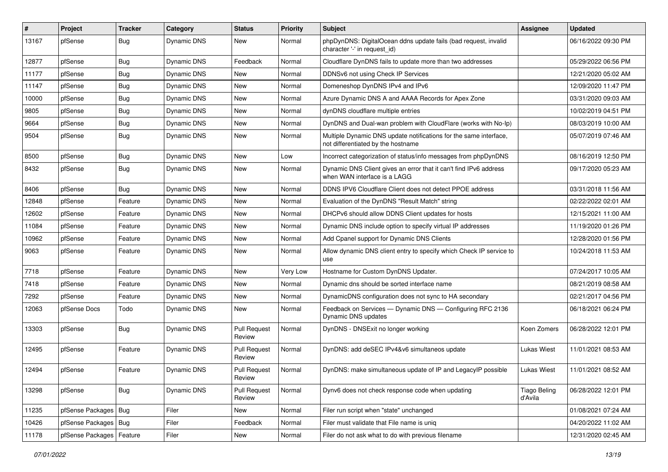| $\vert$ # | Project                | <b>Tracker</b> | Category           | <b>Status</b>                        | <b>Priority</b> | Subject                                                                                                 | Assignee                       | <b>Updated</b>      |
|-----------|------------------------|----------------|--------------------|--------------------------------------|-----------------|---------------------------------------------------------------------------------------------------------|--------------------------------|---------------------|
| 13167     | pfSense                | <b>Bug</b>     | Dynamic DNS        | New                                  | Normal          | phpDynDNS: DigitalOcean ddns update fails (bad request, invalid<br>character '-' in request id)         |                                | 06/16/2022 09:30 PM |
| 12877     | pfSense                | <b>Bug</b>     | <b>Dynamic DNS</b> | Feedback                             | Normal          | Cloudflare DynDNS fails to update more than two addresses                                               |                                | 05/29/2022 06:56 PM |
| 11177     | pfSense                | <b>Bug</b>     | Dynamic DNS        | New                                  | Normal          | DDNSv6 not using Check IP Services                                                                      |                                | 12/21/2020 05:02 AM |
| 11147     | pfSense                | Bug            | Dynamic DNS        | New                                  | Normal          | Domeneshop DynDNS IPv4 and IPv6                                                                         |                                | 12/09/2020 11:47 PM |
| 10000     | pfSense                | <b>Bug</b>     | Dynamic DNS        | New                                  | Normal          | Azure Dynamic DNS A and AAAA Records for Apex Zone                                                      |                                | 03/31/2020 09:03 AM |
| 9805      | pfSense                | Bug            | Dynamic DNS        | New                                  | Normal          | dynDNS cloudflare multiple entries                                                                      |                                | 10/02/2019 04:51 PM |
| 9664      | pfSense                | <b>Bug</b>     | Dynamic DNS        | New                                  | Normal          | DynDNS and Dual-wan problem with CloudFlare (works with No-Ip)                                          |                                | 08/03/2019 10:00 AM |
| 9504      | pfSense                | <b>Bug</b>     | Dynamic DNS        | New                                  | Normal          | Multiple Dynamic DNS update notifications for the same interface,<br>not differentiated by the hostname |                                | 05/07/2019 07:46 AM |
| 8500      | pfSense                | <b>Bug</b>     | Dynamic DNS        | New                                  | Low             | Incorrect categorization of status/info messages from phpDynDNS                                         |                                | 08/16/2019 12:50 PM |
| 8432      | pfSense                | <b>Bug</b>     | Dynamic DNS        | New                                  | Normal          | Dynamic DNS Client gives an error that it can't find IPv6 address<br>when WAN interface is a LAGG       |                                | 09/17/2020 05:23 AM |
| 8406      | pfSense                | Bug            | <b>Dynamic DNS</b> | New                                  | Normal          | DDNS IPV6 Cloudflare Client does not detect PPOE address                                                |                                | 03/31/2018 11:56 AM |
| 12848     | pfSense                | Feature        | Dynamic DNS        | New                                  | Normal          | Evaluation of the DynDNS "Result Match" string                                                          |                                | 02/22/2022 02:01 AM |
| 12602     | pfSense                | Feature        | Dynamic DNS        | New                                  | Normal          | DHCPv6 should allow DDNS Client updates for hosts                                                       |                                | 12/15/2021 11:00 AM |
| 11084     | pfSense                | Feature        | Dynamic DNS        | New                                  | Normal          | Dynamic DNS include option to specify virtual IP addresses                                              |                                | 11/19/2020 01:26 PM |
| 10962     | pfSense                | Feature        | Dynamic DNS        | <b>New</b>                           | Normal          | Add Cpanel support for Dynamic DNS Clients                                                              |                                | 12/28/2020 01:56 PM |
| 9063      | pfSense                | Feature        | Dynamic DNS        | New                                  | Normal          | Allow dynamic DNS client entry to specify which Check IP service to<br>use                              |                                | 10/24/2018 11:53 AM |
| 7718      | pfSense                | Feature        | Dynamic DNS        | <b>New</b>                           | Very Low        | Hostname for Custom DynDNS Updater.                                                                     |                                | 07/24/2017 10:05 AM |
| 7418      | pfSense                | Feature        | Dynamic DNS        | New                                  | Normal          | Dynamic dns should be sorted interface name                                                             |                                | 08/21/2019 08:58 AM |
| 7292      | pfSense                | Feature        | Dynamic DNS        | New                                  | Normal          | DynamicDNS configuration does not sync to HA secondary                                                  |                                | 02/21/2017 04:56 PM |
| 12063     | pfSense Docs           | Todo           | Dynamic DNS        | New                                  | Normal          | Feedback on Services - Dynamic DNS - Configuring RFC 2136<br>Dynamic DNS updates                        |                                | 06/18/2021 06:24 PM |
| 13303     | pfSense                | <b>Bug</b>     | Dynamic DNS        | <b>Pull Request</b><br>Review        | Normal          | DynDNS - DNSExit no longer working                                                                      | Koen Zomers                    | 06/28/2022 12:01 PM |
| 12495     | pfSense                | Feature        | Dynamic DNS        | <b>Pull Request</b><br>Review        | Normal          | DynDNS: add deSEC IPv4&v6 simultaneos update                                                            | <b>Lukas Wiest</b>             | 11/01/2021 08:53 AM |
| 12494     | pfSense                | Feature        | Dynamic DNS        | <b>Pull Request</b><br><b>Heview</b> | Normal          | DynDNS: make simultaneous update of IP and LegacyIP possible                                            | <b>Lukas Wiest</b>             | 11/01/2021 08:52 AM |
| 13298     | pfSense                | <b>Bug</b>     | Dynamic DNS        | <b>Pull Request</b><br>Review        | Normal          | Dynv6 does not check response code when updating                                                        | <b>Tiago Beling</b><br>d'Avila | 06/28/2022 12:01 PM |
| 11235     | pfSense Packages   Bug |                | Filer              | New                                  | Normal          | Filer run script when "state" unchanged                                                                 |                                | 01/08/2021 07:24 AM |
| 10426     | pfSense Packages   Bug |                | Filer              | Feedback                             | Normal          | Filer must validate that File name is uniq                                                              |                                | 04/20/2022 11:02 AM |
| 11178     | pfSense Packages       | Feature        | Filer              | New                                  | Normal          | Filer do not ask what to do with previous filename                                                      |                                | 12/31/2020 02:45 AM |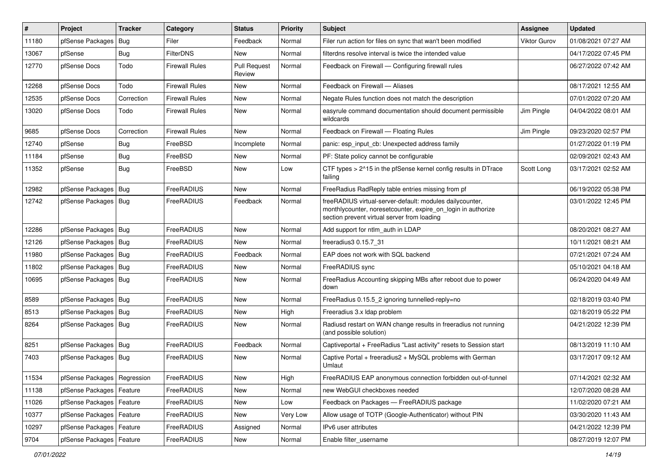| $\vert$ # | Project                       | <b>Tracker</b> | Category              | <b>Status</b>                 | <b>Priority</b> | Subject                                                                                                                                                                 | <b>Assignee</b>     | <b>Updated</b>      |
|-----------|-------------------------------|----------------|-----------------------|-------------------------------|-----------------|-------------------------------------------------------------------------------------------------------------------------------------------------------------------------|---------------------|---------------------|
| 11180     | pfSense Packages              | Bug            | Filer                 | Feedback                      | Normal          | Filer run action for files on sync that wan't been modified                                                                                                             | <b>Viktor Gurov</b> | 01/08/2021 07:27 AM |
| 13067     | pfSense                       | Bug            | <b>FilterDNS</b>      | <b>New</b>                    | Normal          | filterdns resolve interval is twice the intended value                                                                                                                  |                     | 04/17/2022 07:45 PM |
| 12770     | pfSense Docs                  | Todo           | Firewall Rules        | <b>Pull Request</b><br>Review | Normal          | Feedback on Firewall - Configuring firewall rules                                                                                                                       |                     | 06/27/2022 07:42 AM |
| 12268     | pfSense Docs                  | Todo           | <b>Firewall Rules</b> | New                           | Normal          | Feedback on Firewall - Aliases                                                                                                                                          |                     | 08/17/2021 12:55 AM |
| 12535     | pfSense Docs                  | Correction     | <b>Firewall Rules</b> | New                           | Normal          | Negate Rules function does not match the description                                                                                                                    |                     | 07/01/2022 07:20 AM |
| 13020     | pfSense Docs                  | Todo           | <b>Firewall Rules</b> | New                           | Normal          | easyrule command documentation should document permissible<br>wildcards                                                                                                 | Jim Pingle          | 04/04/2022 08:01 AM |
| 9685      | pfSense Docs                  | Correction     | <b>Firewall Rules</b> | New                           | Normal          | Feedback on Firewall - Floating Rules                                                                                                                                   | Jim Pingle          | 09/23/2020 02:57 PM |
| 12740     | pfSense                       | <b>Bug</b>     | FreeBSD               | Incomplete                    | Normal          | panic: esp_input_cb: Unexpected address family                                                                                                                          |                     | 01/27/2022 01:19 PM |
| 11184     | pfSense                       | <b>Bug</b>     | FreeBSD               | New                           | Normal          | PF: State policy cannot be configurable                                                                                                                                 |                     | 02/09/2021 02:43 AM |
| 11352     | pfSense                       | Bug            | FreeBSD               | New                           | Low             | CTF types > 2^15 in the pfSense kernel config results in DTrace<br>failing                                                                                              | Scott Long          | 03/17/2021 02:52 AM |
| 12982     | pfSense Packages              | Bug            | FreeRADIUS            | <b>New</b>                    | Normal          | FreeRadius RadReply table entries missing from pf                                                                                                                       |                     | 06/19/2022 05:38 PM |
| 12742     | pfSense Packages   Bug        |                | FreeRADIUS            | Feedback                      | Normal          | freeRADIUS virtual-server-default: modules dailycounter,<br>monthlycounter, noresetcounter, expire_on_login in authorize<br>section prevent virtual server from loading |                     | 03/01/2022 12:45 PM |
| 12286     | pfSense Packages              | Bug            | FreeRADIUS            | New                           | Normal          | Add support for ntlm_auth in LDAP                                                                                                                                       |                     | 08/20/2021 08:27 AM |
| 12126     | pfSense Packages              | Bug            | FreeRADIUS            | <b>New</b>                    | Normal          | freeradius3 0.15.7 31                                                                                                                                                   |                     | 10/11/2021 08:21 AM |
| 11980     | pfSense Packages   Bug        |                | FreeRADIUS            | Feedback                      | Normal          | EAP does not work with SQL backend                                                                                                                                      |                     | 07/21/2021 07:24 AM |
| 11802     | pfSense Packages              | Bug            | FreeRADIUS            | New                           | Normal          | FreeRADIUS sync                                                                                                                                                         |                     | 05/10/2021 04:18 AM |
| 10695     | pfSense Packages   Bug        |                | FreeRADIUS            | New                           | Normal          | FreeRadius Accounting skipping MBs after reboot due to power<br>down                                                                                                    |                     | 06/24/2020 04:49 AM |
| 8589      | pfSense Packages              | Bug            | FreeRADIUS            | <b>New</b>                    | Normal          | FreeRadius 0.15.5_2 ignoring tunnelled-reply=no                                                                                                                         |                     | 02/18/2019 03:40 PM |
| 8513      | pfSense Packages   Bug        |                | FreeRADIUS            | New                           | High            | Freeradius 3.x Idap problem                                                                                                                                             |                     | 02/18/2019 05:22 PM |
| 8264      | pfSense Packages   Bug        |                | FreeRADIUS            | <b>New</b>                    | Normal          | Radiusd restart on WAN change results in freeradius not running<br>(and possible solution)                                                                              |                     | 04/21/2022 12:39 PM |
| 8251      | pfSense Packages              | Bug            | FreeRADIUS            | Feedback                      | Normal          | Captiveportal + FreeRadius "Last activity" resets to Session start                                                                                                      |                     | 08/13/2019 11:10 AM |
| 7403      | pfSense Packages   Bug        |                | FreeRADIUS            | New                           | Normal          | Captive Portal + freeradius2 + MySQL problems with German<br>Umlaut                                                                                                     |                     | 03/17/2017 09:12 AM |
| 11534     | pfSense Packages   Regression |                | FreeRADIUS            | New                           | High            | FreeRADIUS EAP anonymous connection forbidden out-of-tunnel                                                                                                             |                     | 07/14/2021 02:32 AM |
| 11138     | pfSense Packages              | Feature        | FreeRADIUS            | New                           | Normal          | new WebGUI checkboxes needed                                                                                                                                            |                     | 12/07/2020 08:28 AM |
| 11026     | pfSense Packages   Feature    |                | FreeRADIUS            | New                           | Low             | Feedback on Packages - FreeRADIUS package                                                                                                                               |                     | 11/02/2020 07:21 AM |
| 10377     | pfSense Packages   Feature    |                | FreeRADIUS            | New                           | Very Low        | Allow usage of TOTP (Google-Authenticator) without PIN                                                                                                                  |                     | 03/30/2020 11:43 AM |
| 10297     | pfSense Packages   Feature    |                | FreeRADIUS            | Assigned                      | Normal          | IPv6 user attributes                                                                                                                                                    |                     | 04/21/2022 12:39 PM |
| 9704      | pfSense Packages   Feature    |                | FreeRADIUS            | New                           | Normal          | Enable filter username                                                                                                                                                  |                     | 08/27/2019 12:07 PM |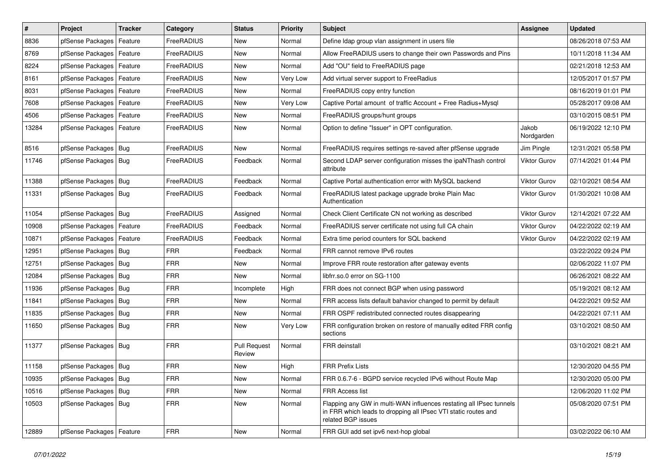| $\vert$ # | Project                    | <b>Tracker</b> | Category          | <b>Status</b>                 | <b>Priority</b> | Subject                                                                                                                                                     | Assignee            | <b>Updated</b>      |
|-----------|----------------------------|----------------|-------------------|-------------------------------|-----------------|-------------------------------------------------------------------------------------------------------------------------------------------------------------|---------------------|---------------------|
| 8836      | pfSense Packages           | Feature        | FreeRADIUS        | New                           | Normal          | Define Idap group vlan assignment in users file                                                                                                             |                     | 08/26/2018 07:53 AM |
| 8769      | pfSense Packages   Feature |                | FreeRADIUS        | New                           | Normal          | Allow FreeRADIUS users to change their own Passwords and Pins                                                                                               |                     | 10/11/2018 11:34 AM |
| 8224      | pfSense Packages   Feature |                | FreeRADIUS        | New                           | Normal          | Add "OU" field to FreeRADIUS page                                                                                                                           |                     | 02/21/2018 12:53 AM |
| 8161      | pfSense Packages   Feature |                | <b>FreeRADIUS</b> | New                           | Very Low        | Add virtual server support to FreeRadius                                                                                                                    |                     | 12/05/2017 01:57 PM |
| 8031      | pfSense Packages   Feature |                | FreeRADIUS        | New                           | Normal          | FreeRADIUS copy entry function                                                                                                                              |                     | 08/16/2019 01:01 PM |
| 7608      | pfSense Packages   Feature |                | FreeRADIUS        | New                           | Very Low        | Captive Portal amount of traffic Account + Free Radius+Mysql                                                                                                |                     | 05/28/2017 09:08 AM |
| 4506      | pfSense Packages   Feature |                | FreeRADIUS        | New                           | Normal          | FreeRADIUS groups/hunt groups                                                                                                                               |                     | 03/10/2015 08:51 PM |
| 13284     | pfSense Packages   Feature |                | FreeRADIUS        | New                           | Normal          | Option to define "Issuer" in OPT configuration.                                                                                                             | Jakob<br>Nordgarden | 06/19/2022 12:10 PM |
| 8516      | pfSense Packages   Bug     |                | FreeRADIUS        | <b>New</b>                    | Normal          | FreeRADIUS requires settings re-saved after pfSense upgrade                                                                                                 | Jim Pingle          | 12/31/2021 05:58 PM |
| 11746     | pfSense Packages   Bug     |                | FreeRADIUS        | Feedback                      | Normal          | Second LDAP server configuration misses the ipaNThash control<br>attribute                                                                                  | Viktor Gurov        | 07/14/2021 01:44 PM |
| 11388     | pfSense Packages   Bug     |                | FreeRADIUS        | Feedback                      | Normal          | Captive Portal authentication error with MySQL backend                                                                                                      | Viktor Gurov        | 02/10/2021 08:54 AM |
| 11331     | pfSense Packages   Bug     |                | FreeRADIUS        | Feedback                      | Normal          | FreeRADIUS latest package upgrade broke Plain Mac<br>Authentication                                                                                         | <b>Viktor Gurov</b> | 01/30/2021 10:08 AM |
| 11054     | pfSense Packages   Bug     |                | FreeRADIUS        | Assigned                      | Normal          | Check Client Certificate CN not working as described                                                                                                        | <b>Viktor Gurov</b> | 12/14/2021 07:22 AM |
| 10908     | pfSense Packages   Feature |                | FreeRADIUS        | Feedback                      | Normal          | FreeRADIUS server certificate not using full CA chain                                                                                                       | Viktor Gurov        | 04/22/2022 02:19 AM |
| 10871     | pfSense Packages   Feature |                | FreeRADIUS        | Feedback                      | Normal          | Extra time period counters for SQL backend                                                                                                                  | <b>Viktor Gurov</b> | 04/22/2022 02:19 AM |
| 12951     | pfSense Packages   Bug     |                | <b>FRR</b>        | Feedback                      | Normal          | FRR cannot remove IPv6 routes                                                                                                                               |                     | 03/22/2022 09:24 PM |
| 12751     | pfSense Packages   Bug     |                | <b>FRR</b>        | New                           | Normal          | Improve FRR route restoration after gateway events                                                                                                          |                     | 02/06/2022 11:07 PM |
| 12084     | pfSense Packages   Bug     |                | <b>FRR</b>        | New                           | Normal          | libfrr.so.0 error on SG-1100                                                                                                                                |                     | 06/26/2021 08:22 AM |
| 11936     | pfSense Packages   Bug     |                | <b>FRR</b>        | Incomplete                    | High            | FRR does not connect BGP when using password                                                                                                                |                     | 05/19/2021 08:12 AM |
| 11841     | pfSense Packages   Bug     |                | <b>FRR</b>        | New                           | Normal          | FRR access lists default bahavior changed to permit by default                                                                                              |                     | 04/22/2021 09:52 AM |
| 11835     | pfSense Packages   Bug     |                | <b>FRR</b>        | New                           | Normal          | FRR OSPF redistributed connected routes disappearing                                                                                                        |                     | 04/22/2021 07:11 AM |
| 11650     | pfSense Packages   Bug     |                | <b>FRR</b>        | New                           | Very Low        | FRR configuration broken on restore of manually edited FRR config<br>sections                                                                               |                     | 03/10/2021 08:50 AM |
| 11377     | pfSense Packages   Bug     |                | <b>FRR</b>        | <b>Pull Request</b><br>Review | Normal          | <b>FRR</b> deinstall                                                                                                                                        |                     | 03/10/2021 08:21 AM |
| 11158     | pfSense Packages   Bug     |                | <b>FRR</b>        | New                           | High            | <b>FRR Prefix Lists</b>                                                                                                                                     |                     | 12/30/2020 04:55 PM |
| 10935     | pfSense Packages   Bug     |                | FRR               | New                           | Normal          | FRR 0.6.7-6 - BGPD service recycled IPv6 without Route Map                                                                                                  |                     | 12/30/2020 05:00 PM |
| 10516     | pfSense Packages   Bug     |                | <b>FRR</b>        | New                           | Normal          | <b>FRR Access list</b>                                                                                                                                      |                     | 12/06/2020 11:02 PM |
| 10503     | pfSense Packages   Bug     |                | <b>FRR</b>        | New                           | Normal          | Flapping any GW in multi-WAN influences restating all IPsec tunnels<br>in FRR which leads to dropping all IPsec VTI static routes and<br>related BGP issues |                     | 05/08/2020 07:51 PM |
| 12889     | pfSense Packages   Feature |                | <b>FRR</b>        | New                           | Normal          | FRR GUI add set ipv6 next-hop global                                                                                                                        |                     | 03/02/2022 06:10 AM |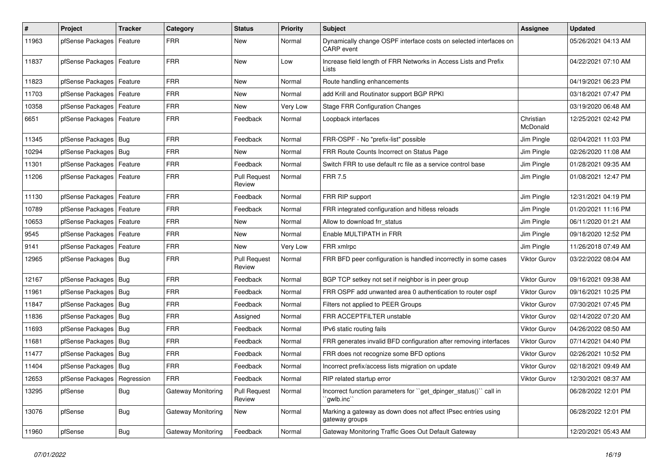| $\vert$ # | Project                       | <b>Tracker</b> | Category           | <b>Status</b>                 | <b>Priority</b> | Subject                                                                         | Assignee              | <b>Updated</b>      |
|-----------|-------------------------------|----------------|--------------------|-------------------------------|-----------------|---------------------------------------------------------------------------------|-----------------------|---------------------|
| 11963     | pfSense Packages              | Feature        | <b>FRR</b>         | New                           | Normal          | Dynamically change OSPF interface costs on selected interfaces on<br>CARP event |                       | 05/26/2021 04:13 AM |
| 11837     | pfSense Packages              | Feature        | <b>FRR</b>         | New                           | Low             | Increase field length of FRR Networks in Access Lists and Prefix<br>Lists       |                       | 04/22/2021 07:10 AM |
| 11823     | pfSense Packages              | Feature        | <b>FRR</b>         | New                           | Normal          | Route handling enhancements                                                     |                       | 04/19/2021 06:23 PM |
| 11703     | pfSense Packages   Feature    |                | <b>FRR</b>         | New                           | Normal          | add Krill and Routinator support BGP RPKI                                       |                       | 03/18/2021 07:47 PM |
| 10358     | pfSense Packages   Feature    |                | <b>FRR</b>         | New                           | Very Low        | <b>Stage FRR Configuration Changes</b>                                          |                       | 03/19/2020 06:48 AM |
| 6651      | pfSense Packages   Feature    |                | <b>FRR</b>         | Feedback                      | Normal          | Loopback interfaces                                                             | Christian<br>McDonald | 12/25/2021 02:42 PM |
| 11345     | pfSense Packages   Bug        |                | <b>FRR</b>         | Feedback                      | Normal          | FRR-OSPF - No "prefix-list" possible                                            | Jim Pingle            | 02/04/2021 11:03 PM |
| 10294     | pfSense Packages   Bug        |                | <b>FRR</b>         | New                           | Normal          | FRR Route Counts Incorrect on Status Page                                       | Jim Pingle            | 02/26/2020 11:08 AM |
| 11301     | pfSense Packages   Feature    |                | <b>FRR</b>         | Feedback                      | Normal          | Switch FRR to use default rc file as a service control base                     | Jim Pingle            | 01/28/2021 09:35 AM |
| 11206     | pfSense Packages   Feature    |                | <b>FRR</b>         | <b>Pull Request</b><br>Review | Normal          | <b>FRR 7.5</b>                                                                  | Jim Pingle            | 01/08/2021 12:47 PM |
| 11130     | pfSense Packages   Feature    |                | <b>FRR</b>         | Feedback                      | Normal          | FRR RIP support                                                                 | Jim Pingle            | 12/31/2021 04:19 PM |
| 10789     | pfSense Packages   Feature    |                | <b>FRR</b>         | Feedback                      | Normal          | FRR integrated configuration and hitless reloads                                | Jim Pingle            | 01/20/2021 11:16 PM |
| 10653     | pfSense Packages   Feature    |                | <b>FRR</b>         | New                           | Normal          | Allow to download frr_status                                                    | Jim Pingle            | 06/11/2020 01:21 AM |
| 9545      | pfSense Packages              | Feature        | <b>FRR</b>         | New                           | Normal          | Enable MULTIPATH in FRR                                                         | Jim Pingle            | 09/18/2020 12:52 PM |
| 9141      | pfSense Packages              | Feature        | <b>FRR</b>         | New                           | Very Low        | FRR xmlrpc                                                                      | Jim Pingle            | 11/26/2018 07:49 AM |
| 12965     | pfSense Packages   Bug        |                | <b>FRR</b>         | <b>Pull Request</b><br>Review | Normal          | FRR BFD peer configuration is handled incorrectly in some cases                 | <b>Viktor Gurov</b>   | 03/22/2022 08:04 AM |
| 12167     | pfSense Packages   Bug        |                | <b>FRR</b>         | Feedback                      | Normal          | BGP TCP setkey not set if neighbor is in peer group                             | Viktor Gurov          | 09/16/2021 09:38 AM |
| 11961     | pfSense Packages   Bug        |                | <b>FRR</b>         | Feedback                      | Normal          | FRR OSPF add unwanted area 0 authentication to router ospf                      | Viktor Gurov          | 09/16/2021 10:25 PM |
| 11847     | pfSense Packages   Bug        |                | <b>FRR</b>         | Feedback                      | Normal          | Filters not applied to PEER Groups                                              | Viktor Gurov          | 07/30/2021 07:45 PM |
| 11836     | pfSense Packages   Bug        |                | <b>FRR</b>         | Assigned                      | Normal          | FRR ACCEPTFILTER unstable                                                       | <b>Viktor Gurov</b>   | 02/14/2022 07:20 AM |
| 11693     | pfSense Packages              | Bug            | <b>FRR</b>         | Feedback                      | Normal          | IPv6 static routing fails                                                       | Viktor Gurov          | 04/26/2022 08:50 AM |
| 11681     | pfSense Packages   Bug        |                | <b>FRR</b>         | Feedback                      | Normal          | FRR generates invalid BFD configuration after removing interfaces               | <b>Viktor Gurov</b>   | 07/14/2021 04:40 PM |
| 11477     | pfSense Packages   Bug        |                | <b>FRR</b>         | Feedback                      | Normal          | FRR does not recognize some BFD options                                         | Viktor Gurov          | 02/26/2021 10:52 PM |
| 11404     | pfSense Packages   Bug        |                | <b>FRR</b>         | Feedback                      | Normal          | Incorrect prefix/access lists migration on update                               | <b>Viktor Gurov</b>   | 02/18/2021 09:49 AM |
| 12653     | pfSense Packages   Regression |                | $ $ FRR            | Feedback                      | Normal          | RIP related startup error                                                       | Viktor Gurov          | 12/30/2021 08:37 AM |
| 13295     | pfSense                       | Bug            | Gateway Monitoring | <b>Pull Request</b><br>Review | Normal          | Incorrect function parameters for "get dpinger status()" call in<br>`gwlb.inc`` |                       | 06/28/2022 12:01 PM |
| 13076     | pfSense                       | <b>Bug</b>     | Gateway Monitoring | New                           | Normal          | Marking a gateway as down does not affect IPsec entries using<br>gateway groups |                       | 06/28/2022 12:01 PM |
| 11960     | pfSense                       | Bug            | Gateway Monitoring | Feedback                      | Normal          | Gateway Monitoring Traffic Goes Out Default Gateway                             |                       | 12/20/2021 05:43 AM |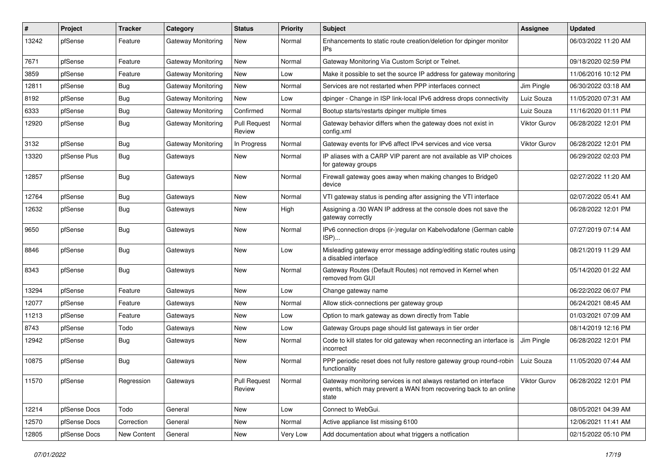| #     | Project      | <b>Tracker</b> | Category           | <b>Status</b>                 | <b>Priority</b> | <b>Subject</b>                                                                                                                                 | Assignee            | <b>Updated</b>      |
|-------|--------------|----------------|--------------------|-------------------------------|-----------------|------------------------------------------------------------------------------------------------------------------------------------------------|---------------------|---------------------|
| 13242 | pfSense      | Feature        | Gateway Monitoring | New                           | Normal          | Enhancements to static route creation/deletion for dpinger monitor<br>IPs                                                                      |                     | 06/03/2022 11:20 AM |
| 7671  | pfSense      | Feature        | Gateway Monitoring | New                           | Normal          | Gateway Monitoring Via Custom Script or Telnet.                                                                                                |                     | 09/18/2020 02:59 PM |
| 3859  | pfSense      | Feature        | Gateway Monitoring | New                           | Low             | Make it possible to set the source IP address for gateway monitoring                                                                           |                     | 11/06/2016 10:12 PM |
| 12811 | pfSense      | <b>Bug</b>     | Gateway Monitoring | <b>New</b>                    | Normal          | Services are not restarted when PPP interfaces connect                                                                                         | Jim Pingle          | 06/30/2022 03:18 AM |
| 8192  | pfSense      | <b>Bug</b>     | Gateway Monitoring | <b>New</b>                    | Low             | dpinger - Change in ISP link-local IPv6 address drops connectivity                                                                             | Luiz Souza          | 11/05/2020 07:31 AM |
| 6333  | pfSense      | <b>Bug</b>     | Gateway Monitoring | Confirmed                     | Normal          | Bootup starts/restarts dpinger multiple times                                                                                                  | Luiz Souza          | 11/16/2020 01:11 PM |
| 12920 | pfSense      | Bug            | Gateway Monitoring | <b>Pull Request</b><br>Review | Normal          | Gateway behavior differs when the gateway does not exist in<br>config.xml                                                                      | Viktor Gurov        | 06/28/2022 12:01 PM |
| 3132  | pfSense      | Bug            | Gateway Monitoring | In Progress                   | Normal          | Gateway events for IPv6 affect IPv4 services and vice versa                                                                                    | Viktor Gurov        | 06/28/2022 12:01 PM |
| 13320 | pfSense Plus | <b>Bug</b>     | Gateways           | New                           | Normal          | IP aliases with a CARP VIP parent are not available as VIP choices<br>for gateway groups                                                       |                     | 06/29/2022 02:03 PM |
| 12857 | pfSense      | <b>Bug</b>     | Gateways           | <b>New</b>                    | Normal          | Firewall gateway goes away when making changes to Bridge0<br>device                                                                            |                     | 02/27/2022 11:20 AM |
| 12764 | pfSense      | <b>Bug</b>     | Gateways           | New                           | Normal          | VTI gateway status is pending after assigning the VTI interface                                                                                |                     | 02/07/2022 05:41 AM |
| 12632 | pfSense      | <b>Bug</b>     | Gateways           | New                           | High            | Assigning a /30 WAN IP address at the console does not save the<br>gateway correctly                                                           |                     | 06/28/2022 12:01 PM |
| 9650  | pfSense      | Bug            | Gateways           | New                           | Normal          | IPv6 connection drops (ir-)regular on Kabelvodafone (German cable<br>ISP)                                                                      |                     | 07/27/2019 07:14 AM |
| 8846  | pfSense      | <b>Bug</b>     | Gateways           | New                           | Low             | Misleading gateway error message adding/editing static routes using<br>a disabled interface                                                    |                     | 08/21/2019 11:29 AM |
| 8343  | pfSense      | <b>Bug</b>     | Gateways           | New                           | Normal          | Gateway Routes (Default Routes) not removed in Kernel when<br>removed from GUI                                                                 |                     | 05/14/2020 01:22 AM |
| 13294 | pfSense      | Feature        | Gateways           | <b>New</b>                    | Low             | Change gateway name                                                                                                                            |                     | 06/22/2022 06:07 PM |
| 12077 | pfSense      | Feature        | Gateways           | New                           | Normal          | Allow stick-connections per gateway group                                                                                                      |                     | 06/24/2021 08:45 AM |
| 11213 | pfSense      | Feature        | Gateways           | New                           | Low             | Option to mark gateway as down directly from Table                                                                                             |                     | 01/03/2021 07:09 AM |
| 8743  | pfSense      | Todo           | Gateways           | New                           | Low             | Gateway Groups page should list gateways in tier order                                                                                         |                     | 08/14/2019 12:16 PM |
| 12942 | pfSense      | <b>Bug</b>     | Gateways           | New                           | Normal          | Code to kill states for old gateway when reconnecting an interface is<br>incorrect                                                             | Jim Pingle          | 06/28/2022 12:01 PM |
| 10875 | pfSense      | <b>Bug</b>     | Gateways           | New                           | Normal          | PPP periodic reset does not fully restore gateway group round-robin<br>functionality                                                           | Luiz Souza          | 11/05/2020 07:44 AM |
| 11570 | pfSense      | Regression     | Gateways           | <b>Pull Request</b><br>Review | Normal          | Gateway monitoring services is not always restarted on interface<br>events, which may prevent a WAN from recovering back to an online<br>state | <b>Viktor Gurov</b> | 06/28/2022 12:01 PM |
| 12214 | pfSense Docs | Todo           | General            | New                           | Low             | Connect to WebGui.                                                                                                                             |                     | 08/05/2021 04:39 AM |
| 12570 | pfSense Docs | Correction     | General            | New                           | Normal          | Active appliance list missing 6100                                                                                                             |                     | 12/06/2021 11:41 AM |
| 12805 | pfSense Docs | New Content    | General            | New                           | Very Low        | Add documentation about what triggers a notfication                                                                                            |                     | 02/15/2022 05:10 PM |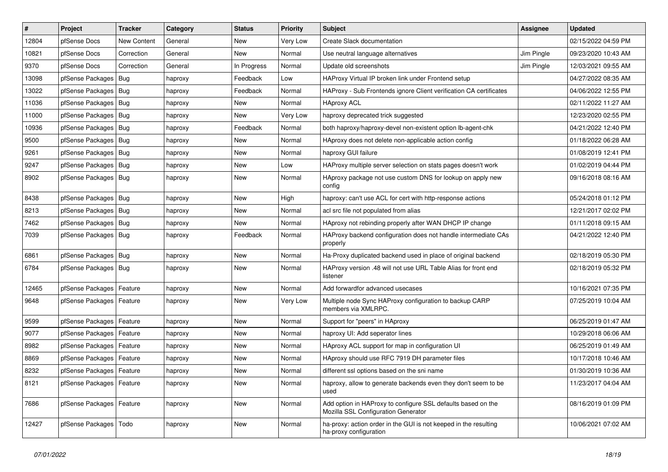| $\vert$ # | Project                    | <b>Tracker</b>     | Category | <b>Status</b> | <b>Priority</b> | Subject                                                                                             | <b>Assignee</b> | <b>Updated</b>      |
|-----------|----------------------------|--------------------|----------|---------------|-----------------|-----------------------------------------------------------------------------------------------------|-----------------|---------------------|
| 12804     | pfSense Docs               | <b>New Content</b> | General  | New           | Very Low        | Create Slack documentation                                                                          |                 | 02/15/2022 04:59 PM |
| 10821     | pfSense Docs               | Correction         | General  | New           | Normal          | Use neutral language alternatives                                                                   | Jim Pingle      | 09/23/2020 10:43 AM |
| 9370      | pfSense Docs               | Correction         | General  | In Progress   | Normal          | Update old screenshots                                                                              | Jim Pingle      | 12/03/2021 09:55 AM |
| 13098     | pfSense Packages   Bug     |                    | haproxy  | Feedback      | Low             | HAProxy Virtual IP broken link under Frontend setup                                                 |                 | 04/27/2022 08:35 AM |
| 13022     | pfSense Packages           | Bug                | haproxy  | Feedback      | Normal          | HAProxy - Sub Frontends ignore Client verification CA certificates                                  |                 | 04/06/2022 12:55 PM |
| 11036     | pfSense Packages   Bug     |                    | haproxy  | New           | Normal          | <b>HAproxy ACL</b>                                                                                  |                 | 02/11/2022 11:27 AM |
| 11000     | pfSense Packages   Bug     |                    | haproxy  | New           | Very Low        | haproxy deprecated trick suggested                                                                  |                 | 12/23/2020 02:55 PM |
| 10936     | pfSense Packages           | Bug                | haproxy  | Feedback      | Normal          | both haproxy/haproxy-devel non-existent option lb-agent-chk                                         |                 | 04/21/2022 12:40 PM |
| 9500      | pfSense Packages           | Bug                | haproxy  | New           | Normal          | HAproxy does not delete non-applicable action config                                                |                 | 01/18/2022 06:28 AM |
| 9261      | pfSense Packages           | <b>Bug</b>         | haproxy  | New           | Normal          | haproxy GUI failure                                                                                 |                 | 01/08/2019 12:41 PM |
| 9247      | pfSense Packages           | Bug                | haproxy  | New           | Low             | HAProxy multiple server selection on stats pages doesn't work                                       |                 | 01/02/2019 04:44 PM |
| 8902      | pfSense Packages   Bug     |                    | haproxy  | New           | Normal          | HAproxy package not use custom DNS for lookup on apply new<br>config                                |                 | 09/16/2018 08:16 AM |
| 8438      | pfSense Packages           | Bug                | haproxy  | New           | High            | haproxy: can't use ACL for cert with http-response actions                                          |                 | 05/24/2018 01:12 PM |
| 8213      | pfSense Packages           | Bug                | haproxy  | New           | Normal          | acl src file not populated from alias                                                               |                 | 12/21/2017 02:02 PM |
| 7462      | pfSense Packages           | Bug                | haproxy  | New           | Normal          | HAproxy not rebinding properly after WAN DHCP IP change                                             |                 | 01/11/2018 09:15 AM |
| 7039      | pfSense Packages   Bug     |                    | haproxy  | Feedback      | Normal          | HAProxy backend configuration does not handle intermediate CAs<br>properly                          |                 | 04/21/2022 12:40 PM |
| 6861      | pfSense Packages           | Bug                | haproxy  | New           | Normal          | Ha-Proxy duplicated backend used in place of original backend                                       |                 | 02/18/2019 05:30 PM |
| 6784      | pfSense Packages   Bug     |                    | haproxy  | New           | Normal          | HAProxy version .48 will not use URL Table Alias for front end<br>listener                          |                 | 02/18/2019 05:32 PM |
| 12465     | pfSense Packages           | Feature            | haproxy  | New           | Normal          | Add forwardfor advanced usecases                                                                    |                 | 10/16/2021 07:35 PM |
| 9648      | pfSense Packages   Feature |                    | haproxy  | New           | Very Low        | Multiple node Sync HAProxy configuration to backup CARP<br>members via XMLRPC.                      |                 | 07/25/2019 10:04 AM |
| 9599      | pfSense Packages           | Feature            | haproxy  | New           | Normal          | Support for "peers" in HAproxy                                                                      |                 | 06/25/2019 01:47 AM |
| 9077      | pfSense Packages           | Feature            | haproxy  | New           | Normal          | haproxy UI: Add seperator lines                                                                     |                 | 10/29/2018 06:06 AM |
| 8982      | pfSense Packages           | Feature            | haproxy  | New           | Normal          | HAproxy ACL support for map in configuration UI                                                     |                 | 06/25/2019 01:49 AM |
| 8869      | pfSense Packages   Feature |                    | haproxy  | New           | Normal          | HAproxy should use RFC 7919 DH parameter files                                                      |                 | 10/17/2018 10:46 AM |
| 8232      | pfSense Packages   Feature |                    | haproxy  | New           | Normal          | different ssl options based on the sni name                                                         |                 | 01/30/2019 10:36 AM |
| 8121      | pfSense Packages   Feature |                    | haproxy  | New           | Normal          | haproxy, allow to generate backends even they don't seem to be<br>used                              |                 | 11/23/2017 04:04 AM |
| 7686      | pfSense Packages   Feature |                    | haproxy  | New           | Normal          | Add option in HAProxy to configure SSL defaults based on the<br>Mozilla SSL Configuration Generator |                 | 08/16/2019 01:09 PM |
| 12427     | pfSense Packages   Todo    |                    | haproxy  | New           | Normal          | ha-proxy: action order in the GUI is not keeped in the resulting<br>ha-proxy configuration          |                 | 10/06/2021 07:02 AM |